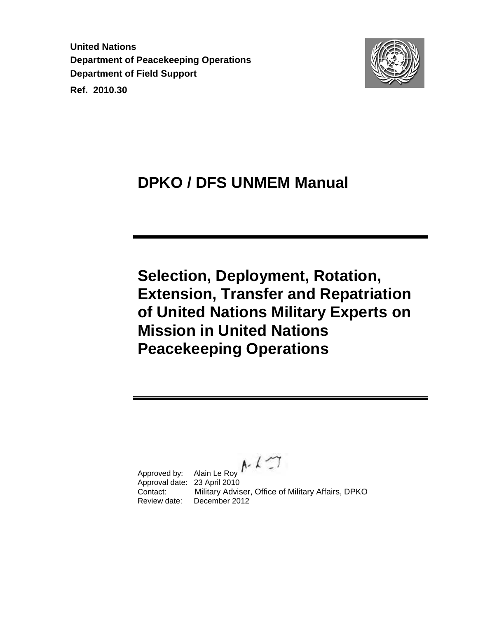**United Nations Department of Peacekeeping Operations Department of Field Support Ref. 2010.30**



# **DPKO / DFS UNMEM Manual**

**Selection, Deployment, Rotation, Extension, Transfer and Repatriation of United Nations Military Experts on Mission in United Nations Peacekeeping Operations** 

Approved by: Alain Le Roy Approval date: 23 April 2010 Contact: Military Adviser, Office of Military Affairs, DPKO Review date: December 2012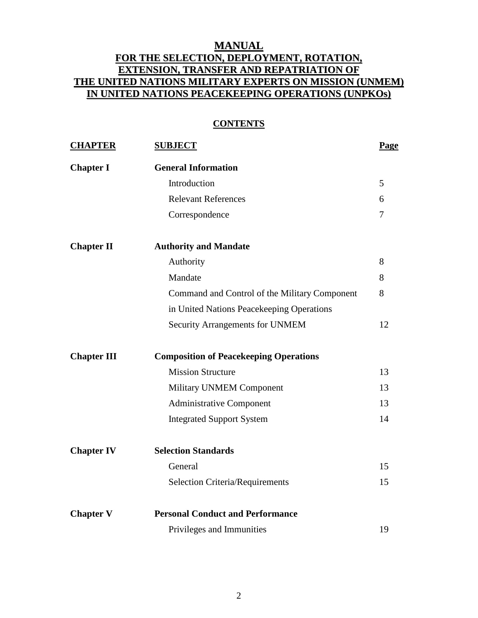### **MANUAL**

#### **FOR THE SELECTION, DEPLOYMENT, ROTATION, EXTENSION, TRANSFER AND REPATRIATION OF THE UNITED NATIONS MILITARY EXPERTS ON MISSION (UNMEM) IN UNITED NATIONS PEACEKEEPING OPERATIONS (UNPKOs)**

#### **CONTENTS**

| <b>CHAPTER</b>     | <b>SUBJECT</b>                                | <b>Page</b>    |
|--------------------|-----------------------------------------------|----------------|
| <b>Chapter I</b>   | <b>General Information</b>                    |                |
|                    | Introduction                                  | 5              |
|                    | <b>Relevant References</b>                    | 6              |
|                    | Correspondence                                | $\overline{7}$ |
| <b>Chapter II</b>  | <b>Authority and Mandate</b>                  |                |
|                    | Authority                                     | 8              |
|                    | Mandate                                       | 8              |
|                    | Command and Control of the Military Component | 8              |
|                    | in United Nations Peacekeeping Operations     |                |
|                    | <b>Security Arrangements for UNMEM</b>        | 12             |
| <b>Chapter III</b> | <b>Composition of Peacekeeping Operations</b> |                |
|                    | <b>Mission Structure</b>                      | 13             |
|                    | Military UNMEM Component                      | 13             |
|                    | <b>Administrative Component</b>               | 13             |
|                    | <b>Integrated Support System</b>              | 14             |
| <b>Chapter IV</b>  | <b>Selection Standards</b>                    |                |
|                    | General                                       | 15             |
|                    | <b>Selection Criteria/Requirements</b>        | 15             |
| <b>Chapter V</b>   | <b>Personal Conduct and Performance</b>       |                |
|                    | Privileges and Immunities                     | 19             |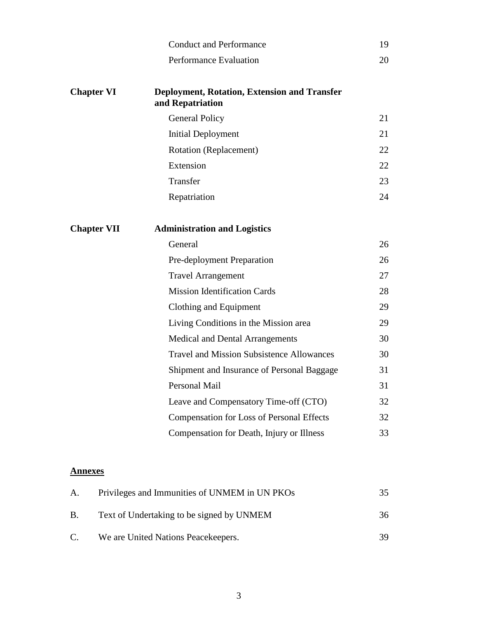|                    | <b>Conduct and Performance</b>                                          | 19 |
|--------------------|-------------------------------------------------------------------------|----|
|                    | Performance Evaluation                                                  | 20 |
| <b>Chapter VI</b>  | <b>Deployment, Rotation, Extension and Transfer</b><br>and Repatriation |    |
|                    | <b>General Policy</b>                                                   | 21 |
|                    | <b>Initial Deployment</b>                                               | 21 |
|                    | Rotation (Replacement)                                                  | 22 |
|                    | Extension                                                               | 22 |
|                    | Transfer                                                                | 23 |
|                    | Repatriation                                                            | 24 |
| <b>Chapter VII</b> | <b>Administration and Logistics</b>                                     |    |
|                    | General                                                                 | 26 |
|                    | Pre-deployment Preparation                                              | 26 |
|                    | <b>Travel Arrangement</b>                                               | 27 |
|                    | <b>Mission Identification Cards</b>                                     | 28 |
|                    | Clothing and Equipment                                                  | 29 |
|                    | Living Conditions in the Mission area                                   | 29 |
|                    | <b>Medical and Dental Arrangements</b>                                  | 30 |
|                    | <b>Travel and Mission Subsistence Allowances</b>                        | 30 |
|                    | Shipment and Insurance of Personal Baggage                              | 31 |
|                    | <b>Personal Mail</b>                                                    | 31 |
|                    | Leave and Compensatory Time-off (CTO)                                   | 32 |
|                    | <b>Compensation for Loss of Personal Effects</b>                        | 32 |
|                    | Compensation for Death, Injury or Illness                               | 33 |

# **Annexes**

| A. | Privileges and Immunities of UNMEM in UN PKOs | 35  |
|----|-----------------------------------------------|-----|
| B. | Text of Undertaking to be signed by UNMEM     | 36  |
| C. | We are United Nations Peacekeepers.           | 39. |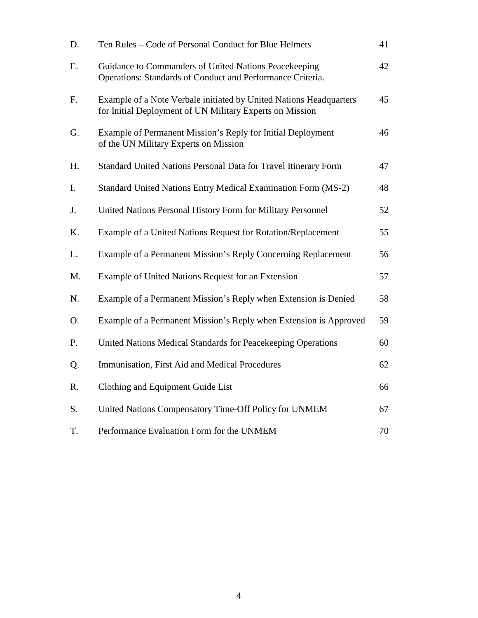| D. | Ten Rules - Code of Personal Conduct for Blue Helmets                                                                          | 41 |
|----|--------------------------------------------------------------------------------------------------------------------------------|----|
| Ε. | Guidance to Commanders of United Nations Peacekeeping<br>Operations: Standards of Conduct and Performance Criteria.            | 42 |
| F. | Example of a Note Verbale initiated by United Nations Headquarters<br>for Initial Deployment of UN Military Experts on Mission | 45 |
| G. | Example of Permanent Mission's Reply for Initial Deployment<br>of the UN Military Experts on Mission                           | 46 |
| H. | Standard United Nations Personal Data for Travel Itinerary Form                                                                | 47 |
| I. | Standard United Nations Entry Medical Examination Form (MS-2)                                                                  | 48 |
| J. | United Nations Personal History Form for Military Personnel                                                                    | 52 |
| K. | Example of a United Nations Request for Rotation/Replacement                                                                   | 55 |
| L. | Example of a Permanent Mission's Reply Concerning Replacement                                                                  | 56 |
| M. | Example of United Nations Request for an Extension                                                                             | 57 |
| N. | Example of a Permanent Mission's Reply when Extension is Denied                                                                | 58 |
| O. | Example of a Permanent Mission's Reply when Extension is Approved                                                              | 59 |
| P. | United Nations Medical Standards for Peacekeeping Operations                                                                   | 60 |
| Q. | Immunisation, First Aid and Medical Procedures                                                                                 | 62 |
| R. | Clothing and Equipment Guide List                                                                                              | 66 |
| S. | United Nations Compensatory Time-Off Policy for UNMEM                                                                          | 67 |
| T. | Performance Evaluation Form for the UNMEM                                                                                      | 70 |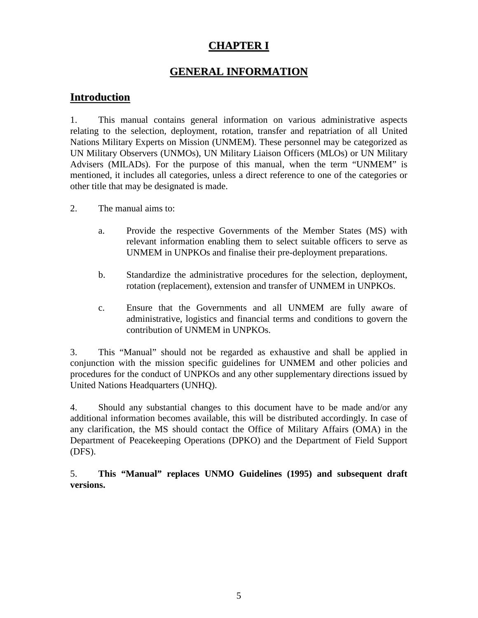# **CHAPTER I**

## **GENERAL INFORMATION**

## **Introduction**

1. This manual contains general information on various administrative aspects relating to the selection, deployment, rotation, transfer and repatriation of all United Nations Military Experts on Mission (UNMEM). These personnel may be categorized as UN Military Observers (UNMOs), UN Military Liaison Officers (MLOs) or UN Military Advisers (MILADs). For the purpose of this manual, when the term "UNMEM" is mentioned, it includes all categories, unless a direct reference to one of the categories or other title that may be designated is made.

- 2. The manual aims to:
	- a. Provide the respective Governments of the Member States (MS) with relevant information enabling them to select suitable officers to serve as UNMEM in UNPKOs and finalise their pre-deployment preparations.
	- b. Standardize the administrative procedures for the selection, deployment, rotation (replacement), extension and transfer of UNMEM in UNPKOs.
	- c. Ensure that the Governments and all UNMEM are fully aware of administrative, logistics and financial terms and conditions to govern the contribution of UNMEM in UNPKOs.

3. This "Manual" should not be regarded as exhaustive and shall be applied in conjunction with the mission specific guidelines for UNMEM and other policies and procedures for the conduct of UNPKOs and any other supplementary directions issued by United Nations Headquarters (UNHQ).

4. Should any substantial changes to this document have to be made and/or any additional information becomes available, this will be distributed accordingly. In case of any clarification, the MS should contact the Office of Military Affairs (OMA) in the Department of Peacekeeping Operations (DPKO) and the Department of Field Support (DFS).

5. **This "Manual" replaces UNMO Guidelines (1995) and subsequent draft versions.**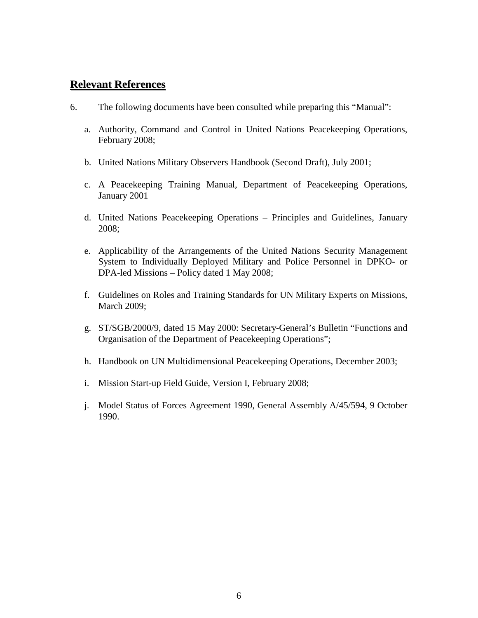#### **Relevant References**

- 6. The following documents have been consulted while preparing this "Manual":
	- a. Authority, Command and Control in United Nations Peacekeeping Operations, February 2008;
	- b. United Nations Military Observers Handbook (Second Draft), July 2001;
	- c. A Peacekeeping Training Manual, Department of Peacekeeping Operations, January 2001
	- d. United Nations Peacekeeping Operations Principles and Guidelines, January 2008;
	- e. Applicability of the Arrangements of the United Nations Security Management System to Individually Deployed Military and Police Personnel in DPKO- or DPA-led Missions – Policy dated 1 May 2008;
	- f. Guidelines on Roles and Training Standards for UN Military Experts on Missions, March 2009;
	- g. ST/SGB/2000/9, dated 15 May 2000: Secretary-General's Bulletin "Functions and Organisation of the Department of Peacekeeping Operations";
	- h. Handbook on UN Multidimensional Peacekeeping Operations, December 2003;
	- i. Mission Start-up Field Guide, Version I, February 2008;
	- j. Model Status of Forces Agreement 1990, General Assembly A/45/594, 9 October 1990.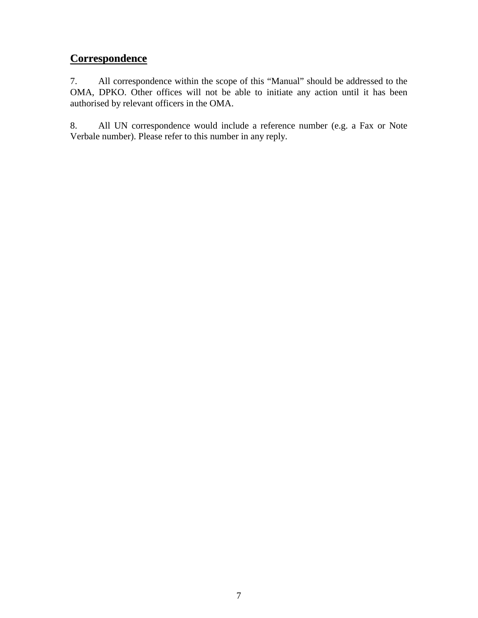# **Correspondence**

7. All correspondence within the scope of this "Manual" should be addressed to the OMA, DPKO. Other offices will not be able to initiate any action until it has been authorised by relevant officers in the OMA.

8. All UN correspondence would include a reference number (e.g. a Fax or Note Verbale number). Please refer to this number in any reply.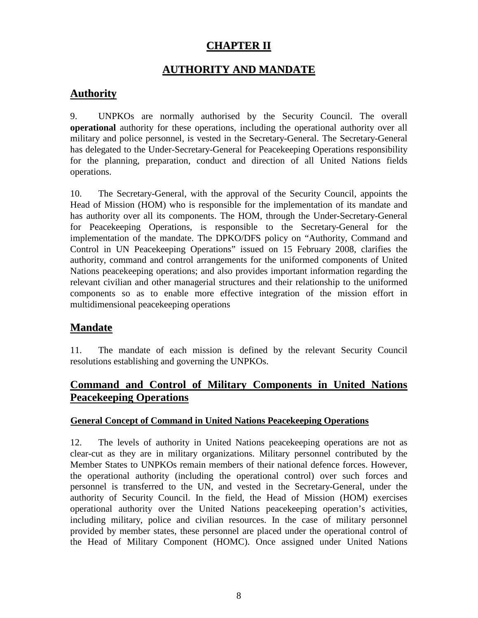## **CHAPTER II**

## **AUTHORITY AND MANDATE**

## **Authority**

9. UNPKOs are normally authorised by the Security Council. The overall **operational** authority for these operations, including the operational authority over all military and police personnel, is vested in the Secretary-General. The Secretary-General has delegated to the Under-Secretary-General for Peacekeeping Operations responsibility for the planning, preparation, conduct and direction of all United Nations fields operations.

10. The Secretary-General, with the approval of the Security Council, appoints the Head of Mission (HOM) who is responsible for the implementation of its mandate and has authority over all its components. The HOM, through the Under-Secretary-General for Peacekeeping Operations, is responsible to the Secretary-General for the implementation of the mandate. The DPKO/DFS policy on "Authority, Command and Control in UN Peacekeeping Operations" issued on 15 February 2008, clarifies the authority, command and control arrangements for the uniformed components of United Nations peacekeeping operations; and also provides important information regarding the relevant civilian and other managerial structures and their relationship to the uniformed components so as to enable more effective integration of the mission effort in multidimensional peacekeeping operations

#### **Mandate**

11. The mandate of each mission is defined by the relevant Security Council resolutions establishing and governing the UNPKOs.

## **Command and Control of Military Components in United Nations Peacekeeping Operations**

#### **General Concept of Command in United Nations Peacekeeping Operations**

12. The levels of authority in United Nations peacekeeping operations are not as clear-cut as they are in military organizations. Military personnel contributed by the Member States to UNPKOs remain members of their national defence forces. However, the operational authority (including the operational control) over such forces and personnel is transferred to the UN, and vested in the Secretary-General, under the authority of Security Council. In the field, the Head of Mission (HOM) exercises operational authority over the United Nations peacekeeping operation's activities, including military, police and civilian resources. In the case of military personnel provided by member states, these personnel are placed under the operational control of the Head of Military Component (HOMC). Once assigned under United Nations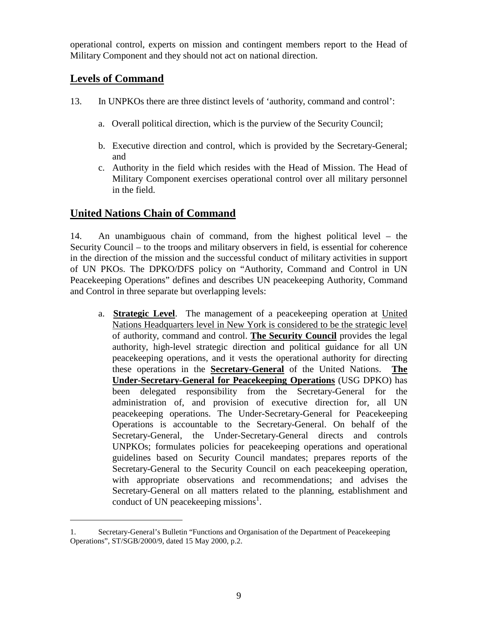operational control, experts on mission and contingent members report to the Head of Military Component and they should not act on national direction.

## **Levels of Command**

<u>.</u>

- 13. In UNPKOs there are three distinct levels of 'authority, command and control':
	- a. Overall political direction, which is the purview of the Security Council;
	- b. Executive direction and control, which is provided by the Secretary-General; and
	- c. Authority in the field which resides with the Head of Mission. The Head of Military Component exercises operational control over all military personnel in the field.

#### **United Nations Chain of Command**

14. An unambiguous chain of command, from the highest political level – the Security Council – to the troops and military observers in field, is essential for coherence in the direction of the mission and the successful conduct of military activities in support of UN PKOs. The DPKO/DFS policy on "Authority, Command and Control in UN Peacekeeping Operations" defines and describes UN peacekeeping Authority, Command and Control in three separate but overlapping levels:

a. **Strategic Level**. The management of a peacekeeping operation at United Nations Headquarters level in New York is considered to be the strategic level of authority, command and control. **The Security Council** provides the legal authority, high-level strategic direction and political guidance for all UN peacekeeping operations, and it vests the operational authority for directing these operations in the **Secretary-General** of the United Nations. **The Under-Secretary-General for Peacekeeping Operations** (USG DPKO) has been delegated responsibility from the Secretary-General for the administration of, and provision of executive direction for, all UN peacekeeping operations. The Under-Secretary-General for Peacekeeping Operations is accountable to the Secretary-General. On behalf of the Secretary-General, the Under-Secretary-General directs and controls UNPKOs; formulates policies for peacekeeping operations and operational guidelines based on Security Council mandates; prepares reports of the Secretary-General to the Security Council on each peacekeeping operation, with appropriate observations and recommendations; and advises the Secretary-General on all matters related to the planning, establishment and conduct of UN peacekeeping missions<sup>1</sup>.

<sup>1.</sup> Secretary-General's Bulletin "Functions and Organisation of the Department of Peacekeeping Operations", ST/SGB/2000/9, dated 15 May 2000, p.2.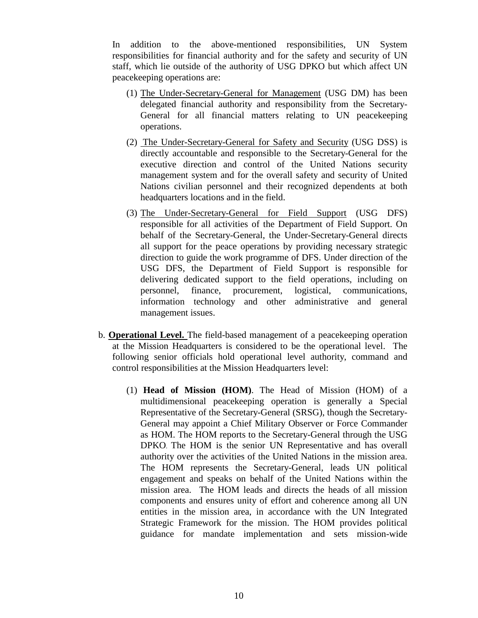In addition to the above-mentioned responsibilities, UN System responsibilities for financial authority and for the safety and security of UN staff, which lie outside of the authority of USG DPKO but which affect UN peacekeeping operations are:

- (1) The Under-Secretary-General for Management (USG DM) has been delegated financial authority and responsibility from the Secretary-General for all financial matters relating to UN peacekeeping operations.
- (2) The Under-Secretary-General for Safety and Security (USG DSS) is directly accountable and responsible to the Secretary-General for the executive direction and control of the United Nations security management system and for the overall safety and security of United Nations civilian personnel and their recognized dependents at both headquarters locations and in the field.
- (3) The Under-Secretary-General for Field Support (USG DFS) responsible for all activities of the Department of Field Support. On behalf of the Secretary-General, the Under-Secretary-General directs all support for the peace operations by providing necessary strategic direction to guide the work programme of DFS. Under direction of the USG DFS, the Department of Field Support is responsible for delivering dedicated support to the field operations, including on personnel, finance, procurement, logistical, communications, information technology and other administrative and general management issues.
- b. **Operational Level.** The field-based management of a peacekeeping operation at the Mission Headquarters is considered to be the operational level. The following senior officials hold operational level authority, command and control responsibilities at the Mission Headquarters level:
	- (1) **Head of Mission (HOM)**. The Head of Mission (HOM) of a multidimensional peacekeeping operation is generally a Special Representative of the Secretary-General (SRSG), though the Secretary-General may appoint a Chief Military Observer or Force Commander as HOM. The HOM reports to the Secretary-General through the USG DPKO. The HOM is the senior UN Representative and has overall authority over the activities of the United Nations in the mission area. The HOM represents the Secretary-General, leads UN political engagement and speaks on behalf of the United Nations within the mission area. The HOM leads and directs the heads of all mission components and ensures unity of effort and coherence among all UN entities in the mission area, in accordance with the UN Integrated Strategic Framework for the mission. The HOM provides political guidance for mandate implementation and sets mission-wide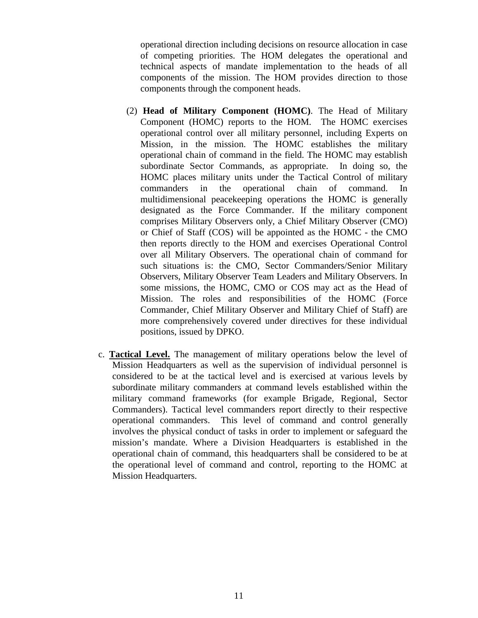operational direction including decisions on resource allocation in case of competing priorities. The HOM delegates the operational and technical aspects of mandate implementation to the heads of all components of the mission. The HOM provides direction to those components through the component heads.

- (2) **Head of Military Component (HOMC)**. The Head of Military Component (HOMC) reports to the HOM. The HOMC exercises operational control over all military personnel, including Experts on Mission, in the mission. The HOMC establishes the military operational chain of command in the field. The HOMC may establish subordinate Sector Commands, as appropriate. In doing so, the HOMC places military units under the Tactical Control of military commanders in the operational chain of command. In multidimensional peacekeeping operations the HOMC is generally designated as the Force Commander. If the military component comprises Military Observers only, a Chief Military Observer (CMO) or Chief of Staff (COS) will be appointed as the HOMC - the CMO then reports directly to the HOM and exercises Operational Control over all Military Observers. The operational chain of command for such situations is: the CMO, Sector Commanders/Senior Military Observers, Military Observer Team Leaders and Military Observers. In some missions, the HOMC, CMO or COS may act as the Head of Mission. The roles and responsibilities of the HOMC (Force Commander, Chief Military Observer and Military Chief of Staff) are more comprehensively covered under directives for these individual positions, issued by DPKO.
- c. **Tactical Level.** The management of military operations below the level of Mission Headquarters as well as the supervision of individual personnel is considered to be at the tactical level and is exercised at various levels by subordinate military commanders at command levels established within the military command frameworks (for example Brigade, Regional, Sector Commanders). Tactical level commanders report directly to their respective operational commanders. This level of command and control generally involves the physical conduct of tasks in order to implement or safeguard the mission's mandate. Where a Division Headquarters is established in the operational chain of command, this headquarters shall be considered to be at the operational level of command and control, reporting to the HOMC at Mission Headquarters.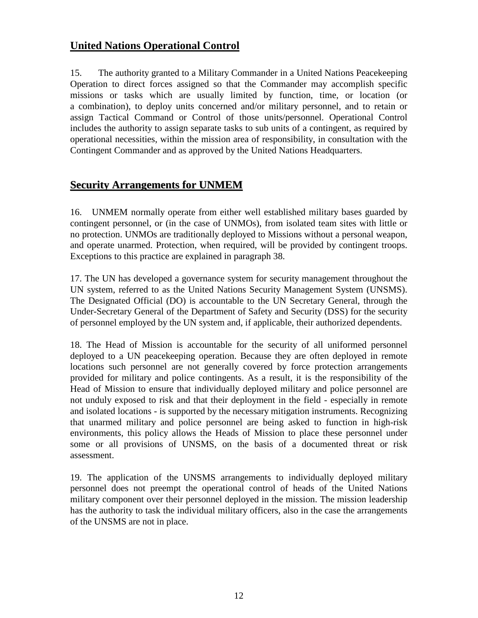#### **United Nations Operational Control**

15. The authority granted to a Military Commander in a United Nations Peacekeeping Operation to direct forces assigned so that the Commander may accomplish specific missions or tasks which are usually limited by function, time, or location (or a combination), to deploy units concerned and/or military personnel, and to retain or assign Tactical Command or Control of those units/personnel. Operational Control includes the authority to assign separate tasks to sub units of a contingent, as required by operational necessities, within the mission area of responsibility, in consultation with the Contingent Commander and as approved by the United Nations Headquarters.

#### **Security Arrangements for UNMEM**

16. UNMEM normally operate from either well established military bases guarded by contingent personnel, or (in the case of UNMOs), from isolated team sites with little or no protection. UNMOs are traditionally deployed to Missions without a personal weapon, and operate unarmed. Protection, when required, will be provided by contingent troops. Exceptions to this practice are explained in paragraph 38.

17. The UN has developed a governance system for security management throughout the UN system, referred to as the United Nations Security Management System (UNSMS). The Designated Official (DO) is accountable to the UN Secretary General, through the Under-Secretary General of the Department of Safety and Security (DSS) for the security of personnel employed by the UN system and, if applicable, their authorized dependents.

18. The Head of Mission is accountable for the security of all uniformed personnel deployed to a UN peacekeeping operation. Because they are often deployed in remote locations such personnel are not generally covered by force protection arrangements provided for military and police contingents. As a result, it is the responsibility of the Head of Mission to ensure that individually deployed military and police personnel are not unduly exposed to risk and that their deployment in the field - especially in remote and isolated locations - is supported by the necessary mitigation instruments. Recognizing that unarmed military and police personnel are being asked to function in high-risk environments, this policy allows the Heads of Mission to place these personnel under some or all provisions of UNSMS, on the basis of a documented threat or risk assessment.

19. The application of the UNSMS arrangements to individually deployed military personnel does not preempt the operational control of heads of the United Nations military component over their personnel deployed in the mission. The mission leadership has the authority to task the individual military officers, also in the case the arrangements of the UNSMS are not in place.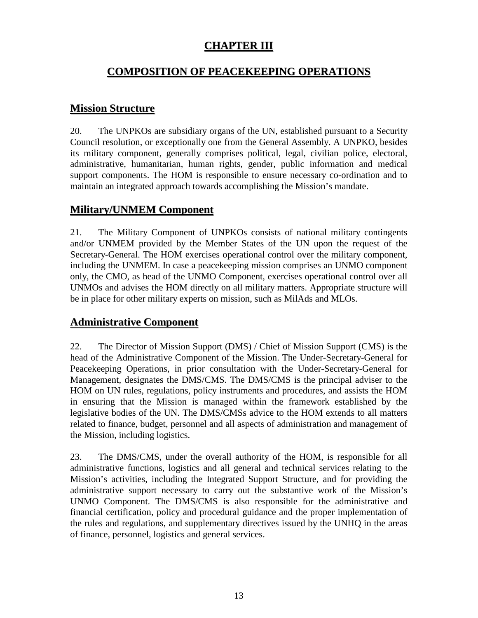## **CHAPTER III**

## **COMPOSITION OF PEACEKEEPING OPERATIONS**

#### **Mission Structure**

20. The UNPKOs are subsidiary organs of the UN, established pursuant to a Security Council resolution, or exceptionally one from the General Assembly. A UNPKO, besides its military component, generally comprises political, legal, civilian police, electoral, administrative, humanitarian, human rights, gender, public information and medical support components. The HOM is responsible to ensure necessary co-ordination and to maintain an integrated approach towards accomplishing the Mission's mandate.

#### **Military/UNMEM Component**

21. The Military Component of UNPKOs consists of national military contingents and/or UNMEM provided by the Member States of the UN upon the request of the Secretary-General. The HOM exercises operational control over the military component, including the UNMEM. In case a peacekeeping mission comprises an UNMO component only, the CMO, as head of the UNMO Component, exercises operational control over all UNMOs and advises the HOM directly on all military matters. Appropriate structure will be in place for other military experts on mission, such as MilAds and MLOs.

#### **Administrative Component**

22. The Director of Mission Support (DMS) / Chief of Mission Support (CMS) is the head of the Administrative Component of the Mission. The Under-Secretary-General for Peacekeeping Operations, in prior consultation with the Under-Secretary-General for Management, designates the DMS/CMS. The DMS/CMS is the principal adviser to the HOM on UN rules, regulations, policy instruments and procedures, and assists the HOM in ensuring that the Mission is managed within the framework established by the legislative bodies of the UN. The DMS/CMSs advice to the HOM extends to all matters related to finance, budget, personnel and all aspects of administration and management of the Mission, including logistics.

23. The DMS/CMS, under the overall authority of the HOM, is responsible for all administrative functions, logistics and all general and technical services relating to the Mission's activities, including the Integrated Support Structure, and for providing the administrative support necessary to carry out the substantive work of the Mission's UNMO Component. The DMS/CMS is also responsible for the administrative and financial certification, policy and procedural guidance and the proper implementation of the rules and regulations, and supplementary directives issued by the UNHQ in the areas of finance, personnel, logistics and general services.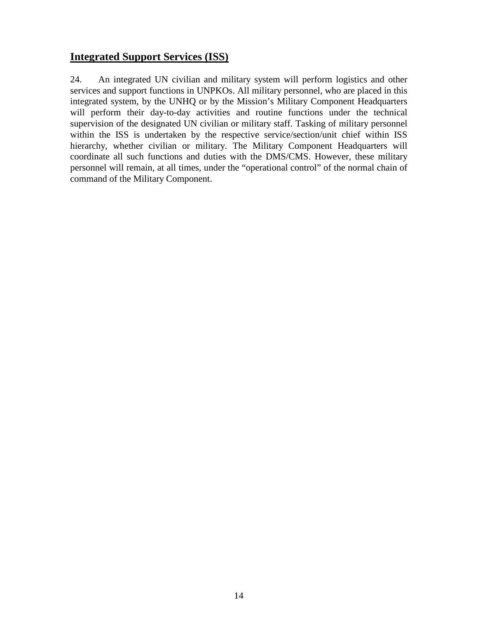## **Integrated Support Services (ISS)**

24. An integrated UN civilian and military system will perform logistics and other services and support functions in UNPKOs. All military personnel, who are placed in this integrated system, by the UNHQ or by the Mission's Military Component Headquarters will perform their day-to-day activities and routine functions under the technical supervision of the designated UN civilian or military staff. Tasking of military personnel within the ISS is undertaken by the respective service/section/unit chief within ISS hierarchy, whether civilian or military. The Military Component Headquarters will coordinate all such functions and duties with the DMS/CMS. However, these military personnel will remain, at all times, under the "operational control" of the normal chain of command of the Military Component.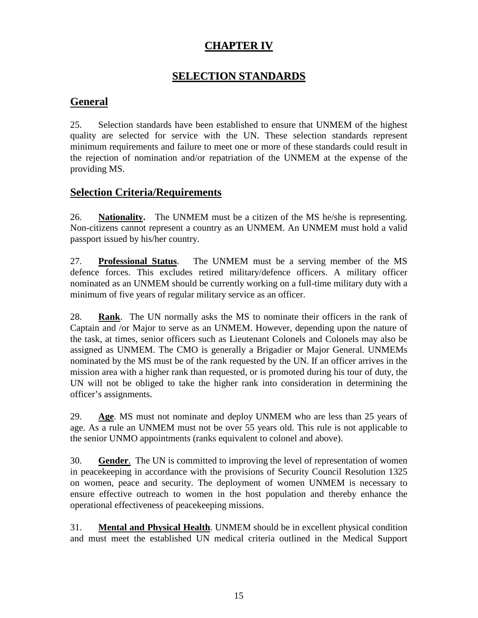# **CHAPTER IV**

# **SELECTION STANDARDS**

## **General**

25. Selection standards have been established to ensure that UNMEM of the highest quality are selected for service with the UN. These selection standards represent minimum requirements and failure to meet one or more of these standards could result in the rejection of nomination and/or repatriation of the UNMEM at the expense of the providing MS.

## **Selection Criteria/Requirements**

26. **Nationality.** The UNMEM must be a citizen of the MS he/she is representing. Non-citizens cannot represent a country as an UNMEM. An UNMEM must hold a valid passport issued by his/her country.

27. **Professional Status**. The UNMEM must be a serving member of the MS defence forces. This excludes retired military/defence officers. A military officer nominated as an UNMEM should be currently working on a full-time military duty with a minimum of five years of regular military service as an officer.

28. **Rank**. The UN normally asks the MS to nominate their officers in the rank of Captain and /or Major to serve as an UNMEM. However, depending upon the nature of the task, at times, senior officers such as Lieutenant Colonels and Colonels may also be assigned as UNMEM. The CMO is generally a Brigadier or Major General. UNMEMs nominated by the MS must be of the rank requested by the UN. If an officer arrives in the mission area with a higher rank than requested, or is promoted during his tour of duty, the UN will not be obliged to take the higher rank into consideration in determining the officer's assignments.

29. **Age**. MS must not nominate and deploy UNMEM who are less than 25 years of age. As a rule an UNMEM must not be over 55 years old. This rule is not applicable to the senior UNMO appointments (ranks equivalent to colonel and above).

30. **Gender**. The UN is committed to improving the level of representation of women in peacekeeping in accordance with the provisions of Security Council Resolution 1325 on women, peace and security. The deployment of women UNMEM is necessary to ensure effective outreach to women in the host population and thereby enhance the operational effectiveness of peacekeeping missions.

31. **Mental and Physical Health**. UNMEM should be in excellent physical condition and must meet the established UN medical criteria outlined in the Medical Support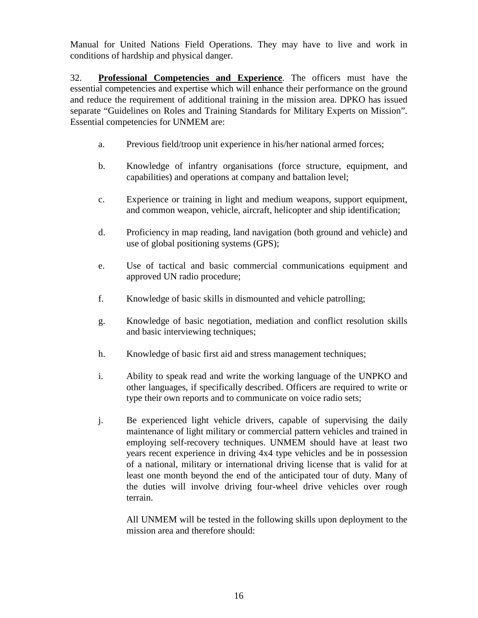Manual for United Nations Field Operations. They may have to live and work in conditions of hardship and physical danger.

32. **Professional Competencies and Experience**. The officers must have the essential competencies and expertise which will enhance their performance on the ground and reduce the requirement of additional training in the mission area. DPKO has issued separate "Guidelines on Roles and Training Standards for Military Experts on Mission". Essential competencies for UNMEM are:

- a. Previous field/troop unit experience in his/her national armed forces;
- b. Knowledge of infantry organisations (force structure, equipment, and capabilities) and operations at company and battalion level;
- c. Experience or training in light and medium weapons, support equipment, and common weapon, vehicle, aircraft, helicopter and ship identification;
- d. Proficiency in map reading, land navigation (both ground and vehicle) and use of global positioning systems (GPS);
- e. Use of tactical and basic commercial communications equipment and approved UN radio procedure;
- f. Knowledge of basic skills in dismounted and vehicle patrolling;
- g. Knowledge of basic negotiation, mediation and conflict resolution skills and basic interviewing techniques;
- h. Knowledge of basic first aid and stress management techniques;
- i. Ability to speak read and write the working language of the UNPKO and other languages, if specifically described. Officers are required to write or type their own reports and to communicate on voice radio sets;
- j. Be experienced light vehicle drivers, capable of supervising the daily maintenance of light military or commercial pattern vehicles and trained in employing self-recovery techniques. UNMEM should have at least two years recent experience in driving 4x4 type vehicles and be in possession of a national, military or international driving license that is valid for at least one month beyond the end of the anticipated tour of duty. Many of the duties will involve driving four-wheel drive vehicles over rough terrain.

All UNMEM will be tested in the following skills upon deployment to the mission area and therefore should: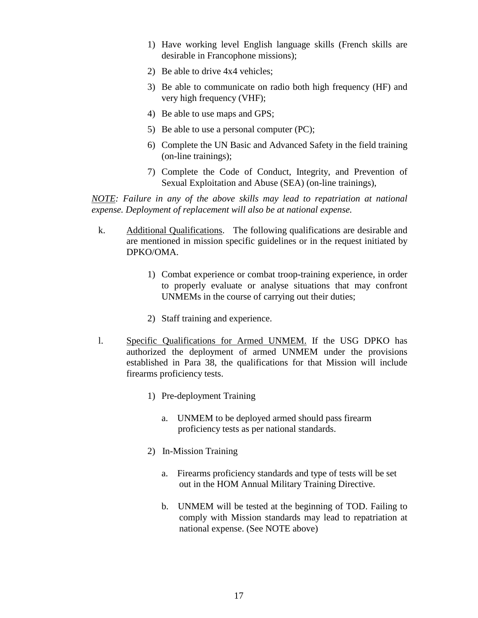- 1) Have working level English language skills (French skills are desirable in Francophone missions);
- 2) Be able to drive 4x4 vehicles;
- 3) Be able to communicate on radio both high frequency (HF) and very high frequency (VHF);
- 4) Be able to use maps and GPS;
- 5) Be able to use a personal computer (PC);
- 6) Complete the UN Basic and Advanced Safety in the field training (on-line trainings);
- 7) Complete the Code of Conduct, Integrity, and Prevention of Sexual Exploitation and Abuse (SEA) (on-line trainings),

*NOTE: Failure in any of the above skills may lead to repatriation at national expense. Deployment of replacement will also be at national expense.* 

- k. Additional Qualifications. The following qualifications are desirable and are mentioned in mission specific guidelines or in the request initiated by DPKO/OMA.
	- 1) Combat experience or combat troop-training experience, in order to properly evaluate or analyse situations that may confront UNMEMs in the course of carrying out their duties;
	- 2) Staff training and experience.
- l. Specific Qualifications for Armed UNMEM. If the USG DPKO has authorized the deployment of armed UNMEM under the provisions established in Para 38, the qualifications for that Mission will include firearms proficiency tests.
	- 1) Pre-deployment Training
		- a. UNMEM to be deployed armed should pass firearm proficiency tests as per national standards.
	- 2) In-Mission Training
		- a. Firearms proficiency standards and type of tests will be set out in the HOM Annual Military Training Directive.
		- b. UNMEM will be tested at the beginning of TOD. Failing to comply with Mission standards may lead to repatriation at national expense. (See NOTE above)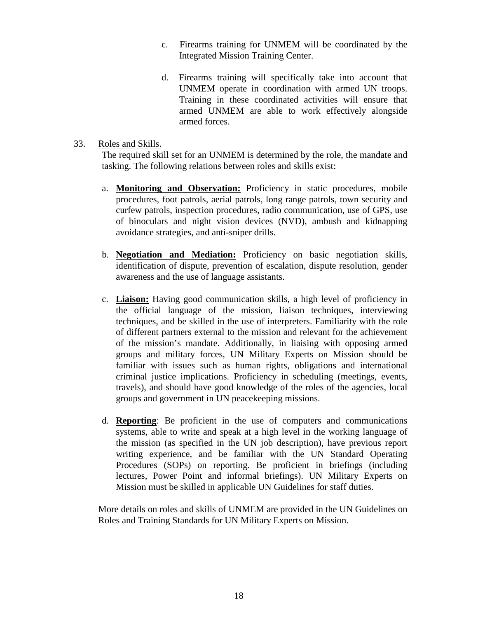- c. Firearms training for UNMEM will be coordinated by the Integrated Mission Training Center.
- d. Firearms training will specifically take into account that UNMEM operate in coordination with armed UN troops. Training in these coordinated activities will ensure that armed UNMEM are able to work effectively alongside armed forces.
- 33. Roles and Skills.

The required skill set for an UNMEM is determined by the role, the mandate and tasking. The following relations between roles and skills exist:

- a. **Monitoring and Observation:** Proficiency in static procedures, mobile procedures, foot patrols, aerial patrols, long range patrols, town security and curfew patrols, inspection procedures, radio communication, use of GPS, use of binoculars and night vision devices (NVD), ambush and kidnapping avoidance strategies, and anti-sniper drills.
- b. **Negotiation and Mediation:** Proficiency on basic negotiation skills, identification of dispute, prevention of escalation, dispute resolution, gender awareness and the use of language assistants.
- c. **Liaison:** Having good communication skills, a high level of proficiency in the official language of the mission, liaison techniques, interviewing techniques, and be skilled in the use of interpreters. Familiarity with the role of different partners external to the mission and relevant for the achievement of the mission's mandate. Additionally, in liaising with opposing armed groups and military forces, UN Military Experts on Mission should be familiar with issues such as human rights, obligations and international criminal justice implications. Proficiency in scheduling (meetings, events, travels), and should have good knowledge of the roles of the agencies, local groups and government in UN peacekeeping missions.
- d. **Reporting**: Be proficient in the use of computers and communications systems, able to write and speak at a high level in the working language of the mission (as specified in the UN job description), have previous report writing experience, and be familiar with the UN Standard Operating Procedures (SOPs) on reporting. Be proficient in briefings (including lectures, Power Point and informal briefings). UN Military Experts on Mission must be skilled in applicable UN Guidelines for staff duties.

More details on roles and skills of UNMEM are provided in the UN Guidelines on Roles and Training Standards for UN Military Experts on Mission.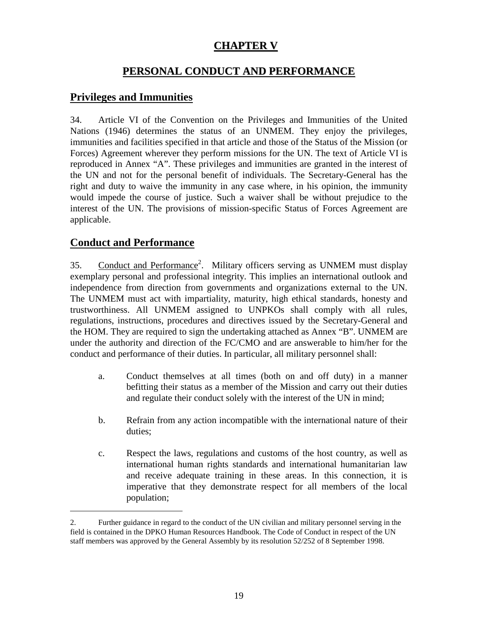## **CHAPTER V**

## **PERSONAL CONDUCT AND PERFORMANCE**

#### **Privileges and Immunities**

34. Article VI of the Convention on the Privileges and Immunities of the United Nations (1946) determines the status of an UNMEM. They enjoy the privileges, immunities and facilities specified in that article and those of the Status of the Mission (or Forces) Agreement wherever they perform missions for the UN. The text of Article VI is reproduced in Annex "A". These privileges and immunities are granted in the interest of the UN and not for the personal benefit of individuals. The Secretary-General has the right and duty to waive the immunity in any case where, in his opinion, the immunity would impede the course of justice. Such a waiver shall be without prejudice to the interest of the UN. The provisions of mission-specific Status of Forces Agreement are applicable.

#### **Conduct and Performance**

 $\overline{a}$ 

35. Conduct and Performance<sup>2</sup>. Military officers serving as UNMEM must display exemplary personal and professional integrity. This implies an international outlook and independence from direction from governments and organizations external to the UN. The UNMEM must act with impartiality, maturity, high ethical standards, honesty and trustworthiness. All UNMEM assigned to UNPKOs shall comply with all rules, regulations, instructions, procedures and directives issued by the Secretary-General and the HOM. They are required to sign the undertaking attached as Annex "B". UNMEM are under the authority and direction of the FC/CMO and are answerable to him/her for the conduct and performance of their duties. In particular, all military personnel shall:

- a. Conduct themselves at all times (both on and off duty) in a manner befitting their status as a member of the Mission and carry out their duties and regulate their conduct solely with the interest of the UN in mind;
- b. Refrain from any action incompatible with the international nature of their duties;
- c. Respect the laws, regulations and customs of the host country, as well as international human rights standards and international humanitarian law and receive adequate training in these areas. In this connection, it is imperative that they demonstrate respect for all members of the local population;

<sup>2.</sup> Further guidance in regard to the conduct of the UN civilian and military personnel serving in the field is contained in the DPKO Human Resources Handbook. The Code of Conduct in respect of the UN staff members was approved by the General Assembly by its resolution 52/252 of 8 September 1998.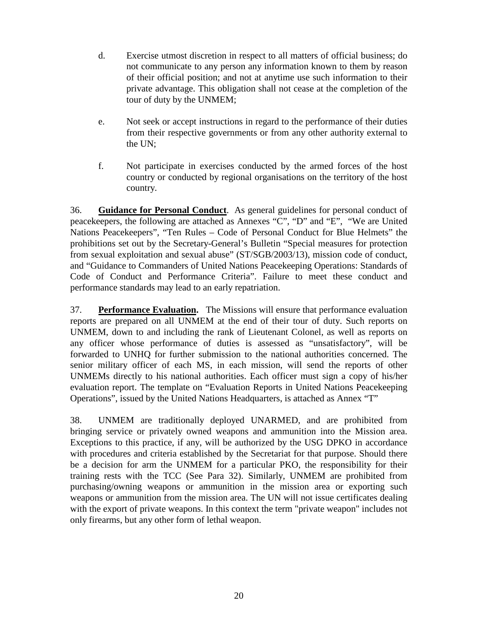- d. Exercise utmost discretion in respect to all matters of official business; do not communicate to any person any information known to them by reason of their official position; and not at anytime use such information to their private advantage. This obligation shall not cease at the completion of the tour of duty by the UNMEM;
- e. Not seek or accept instructions in regard to the performance of their duties from their respective governments or from any other authority external to the UN;
- f. Not participate in exercises conducted by the armed forces of the host country or conducted by regional organisations on the territory of the host country.

36. **Guidance for Personal Conduct**. As general guidelines for personal conduct of peacekeepers, the following are attached as Annexes "C", "D" and "E", "We are United Nations Peacekeepers", "Ten Rules – Code of Personal Conduct for Blue Helmets" the prohibitions set out by the Secretary-General's Bulletin "Special measures for protection from sexual exploitation and sexual abuse" (ST/SGB/2003/13), mission code of conduct, and "Guidance to Commanders of United Nations Peacekeeping Operations: Standards of Code of Conduct and Performance Criteria". Failure to meet these conduct and performance standards may lead to an early repatriation.

37. **Performance Evaluation.** The Missions will ensure that performance evaluation reports are prepared on all UNMEM at the end of their tour of duty. Such reports on UNMEM, down to and including the rank of Lieutenant Colonel, as well as reports on any officer whose performance of duties is assessed as "unsatisfactory", will be forwarded to UNHQ for further submission to the national authorities concerned. The senior military officer of each MS, in each mission, will send the reports of other UNMEMs directly to his national authorities. Each officer must sign a copy of his/her evaluation report. The template on "Evaluation Reports in United Nations Peacekeeping Operations", issued by the United Nations Headquarters, is attached as Annex "T"

38. UNMEM are traditionally deployed UNARMED, and are prohibited from bringing service or privately owned weapons and ammunition into the Mission area. Exceptions to this practice, if any, will be authorized by the USG DPKO in accordance with procedures and criteria established by the Secretariat for that purpose. Should there be a decision for arm the UNMEM for a particular PKO, the responsibility for their training rests with the TCC (See Para 32). Similarly, UNMEM are prohibited from purchasing/owning weapons or ammunition in the mission area or exporting such weapons or ammunition from the mission area. The UN will not issue certificates dealing with the export of private weapons. In this context the term "private weapon" includes not only firearms, but any other form of lethal weapon.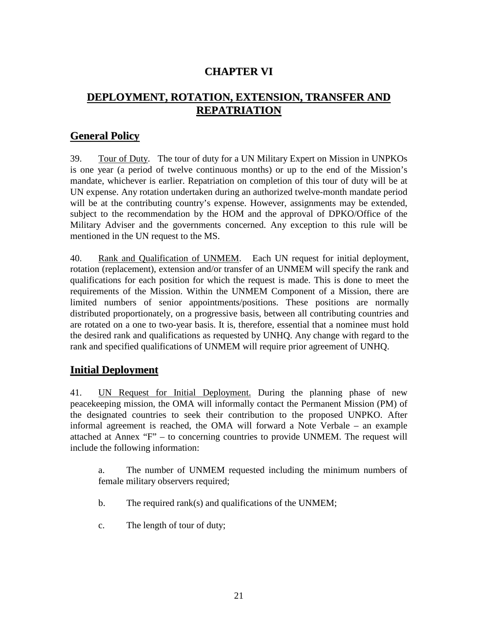## **CHAPTER VI**

## **DEPLOYMENT, ROTATION, EXTENSION, TRANSFER AND REPATRIATION**

#### **General Policy**

39. Tour of Duty. The tour of duty for a UN Military Expert on Mission in UNPKOs is one year (a period of twelve continuous months) or up to the end of the Mission's mandate, whichever is earlier. Repatriation on completion of this tour of duty will be at UN expense. Any rotation undertaken during an authorized twelve-month mandate period will be at the contributing country's expense. However, assignments may be extended, subject to the recommendation by the HOM and the approval of DPKO/Office of the Military Adviser and the governments concerned. Any exception to this rule will be mentioned in the UN request to the MS.

40. Rank and Qualification of UNMEM. Each UN request for initial deployment, rotation (replacement), extension and/or transfer of an UNMEM will specify the rank and qualifications for each position for which the request is made. This is done to meet the requirements of the Mission. Within the UNMEM Component of a Mission, there are limited numbers of senior appointments/positions. These positions are normally distributed proportionately, on a progressive basis, between all contributing countries and are rotated on a one to two-year basis. It is, therefore, essential that a nominee must hold the desired rank and qualifications as requested by UNHQ. Any change with regard to the rank and specified qualifications of UNMEM will require prior agreement of UNHQ.

#### **Initial Deployment**

41. UN Request for Initial Deployment. During the planning phase of new peacekeeping mission, the OMA will informally contact the Permanent Mission (PM) of the designated countries to seek their contribution to the proposed UNPKO. After informal agreement is reached, the OMA will forward a Note Verbale – an example attached at Annex "F" – to concerning countries to provide UNMEM. The request will include the following information:

a. The number of UNMEM requested including the minimum numbers of female military observers required;

- b. The required rank(s) and qualifications of the UNMEM;
- c. The length of tour of duty;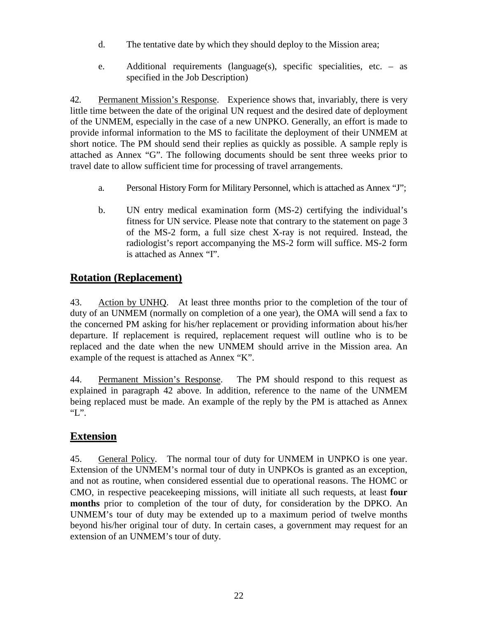- d. The tentative date by which they should deploy to the Mission area;
- e. Additional requirements (language(s), specific specialities, etc. as specified in the Job Description)

42. Permanent Mission's Response. Experience shows that, invariably, there is very little time between the date of the original UN request and the desired date of deployment of the UNMEM, especially in the case of a new UNPKO. Generally, an effort is made to provide informal information to the MS to facilitate the deployment of their UNMEM at short notice. The PM should send their replies as quickly as possible. A sample reply is attached as Annex "G". The following documents should be sent three weeks prior to travel date to allow sufficient time for processing of travel arrangements.

- a. Personal History Form for Military Personnel, which is attached as Annex "J";
- b. UN entry medical examination form (MS-2) certifying the individual's fitness for UN service. Please note that contrary to the statement on page 3 of the MS-2 form, a full size chest X-ray is not required. Instead, the radiologist's report accompanying the MS-2 form will suffice. MS-2 form is attached as Annex "I".

## **Rotation (Replacement)**

43. Action by UNHQ. At least three months prior to the completion of the tour of duty of an UNMEM (normally on completion of a one year), the OMA will send a fax to the concerned PM asking for his/her replacement or providing information about his/her departure. If replacement is required, replacement request will outline who is to be replaced and the date when the new UNMEM should arrive in the Mission area. An example of the request is attached as Annex "K".

44. Permanent Mission's Response. The PM should respond to this request as explained in paragraph 42 above. In addition, reference to the name of the UNMEM being replaced must be made. An example of the reply by the PM is attached as Annex "L".

## **Extension**

45. General Policy. The normal tour of duty for UNMEM in UNPKO is one year. Extension of the UNMEM's normal tour of duty in UNPKOs is granted as an exception, and not as routine, when considered essential due to operational reasons. The HOMC or CMO, in respective peacekeeping missions, will initiate all such requests, at least **four months** prior to completion of the tour of duty, for consideration by the DPKO. An UNMEM's tour of duty may be extended up to a maximum period of twelve months beyond his/her original tour of duty. In certain cases, a government may request for an extension of an UNMEM's tour of duty.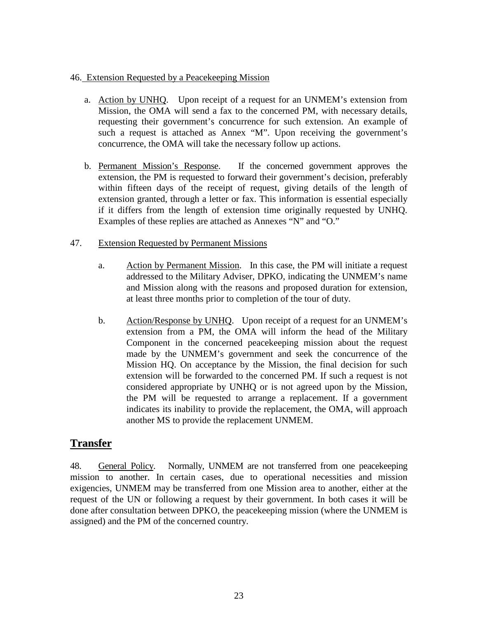#### 46. Extension Requested by a Peacekeeping Mission

- a. Action by UNHQ. Upon receipt of a request for an UNMEM's extension from Mission, the OMA will send a fax to the concerned PM, with necessary details, requesting their government's concurrence for such extension. An example of such a request is attached as Annex "M". Upon receiving the government's concurrence, the OMA will take the necessary follow up actions.
- b. Permanent Mission's Response. If the concerned government approves the extension, the PM is requested to forward their government's decision, preferably within fifteen days of the receipt of request, giving details of the length of extension granted, through a letter or fax. This information is essential especially if it differs from the length of extension time originally requested by UNHQ. Examples of these replies are attached as Annexes "N" and "O."

#### 47. Extension Requested by Permanent Missions

- a. Action by Permanent Mission. In this case, the PM will initiate a request addressed to the Military Adviser, DPKO, indicating the UNMEM's name and Mission along with the reasons and proposed duration for extension, at least three months prior to completion of the tour of duty.
- b. Action/Response by UNHQ. Upon receipt of a request for an UNMEM's extension from a PM, the OMA will inform the head of the Military Component in the concerned peacekeeping mission about the request made by the UNMEM's government and seek the concurrence of the Mission HQ. On acceptance by the Mission, the final decision for such extension will be forwarded to the concerned PM. If such a request is not considered appropriate by UNHQ or is not agreed upon by the Mission, the PM will be requested to arrange a replacement. If a government indicates its inability to provide the replacement, the OMA, will approach another MS to provide the replacement UNMEM.

#### **Transfer**

48. General Policy. Normally, UNMEM are not transferred from one peacekeeping mission to another. In certain cases, due to operational necessities and mission exigencies, UNMEM may be transferred from one Mission area to another, either at the request of the UN or following a request by their government. In both cases it will be done after consultation between DPKO, the peacekeeping mission (where the UNMEM is assigned) and the PM of the concerned country.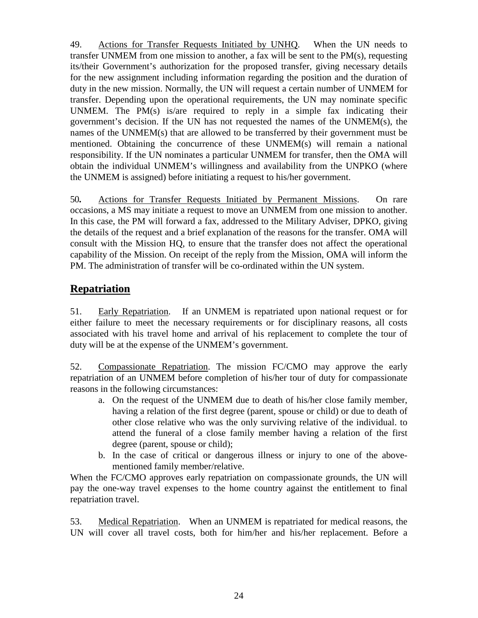49. Actions for Transfer Requests Initiated by UNHQ. When the UN needs to transfer UNMEM from one mission to another, a fax will be sent to the PM(s), requesting its/their Government's authorization for the proposed transfer, giving necessary details for the new assignment including information regarding the position and the duration of duty in the new mission. Normally, the UN will request a certain number of UNMEM for transfer. Depending upon the operational requirements, the UN may nominate specific UNMEM. The PM(s) is/are required to reply in a simple fax indicating their government's decision. If the UN has not requested the names of the UNMEM(s), the names of the UNMEM(s) that are allowed to be transferred by their government must be mentioned. Obtaining the concurrence of these UNMEM(s) will remain a national responsibility. If the UN nominates a particular UNMEM for transfer, then the OMA will obtain the individual UNMEM's willingness and availability from the UNPKO (where the UNMEM is assigned) before initiating a request to his/her government.

50**.** Actions for Transfer Requests Initiated by Permanent Missions. On rare occasions, a MS may initiate a request to move an UNMEM from one mission to another. In this case, the PM will forward a fax, addressed to the Military Adviser, DPKO, giving the details of the request and a brief explanation of the reasons for the transfer. OMA will consult with the Mission HQ, to ensure that the transfer does not affect the operational capability of the Mission. On receipt of the reply from the Mission, OMA will inform the PM. The administration of transfer will be co-ordinated within the UN system.

## **Repatriation**

51. Early Repatriation. If an UNMEM is repatriated upon national request or for either failure to meet the necessary requirements or for disciplinary reasons, all costs associated with his travel home and arrival of his replacement to complete the tour of duty will be at the expense of the UNMEM's government.

52. Compassionate Repatriation. The mission FC/CMO may approve the early repatriation of an UNMEM before completion of his/her tour of duty for compassionate reasons in the following circumstances:

- a. On the request of the UNMEM due to death of his/her close family member, having a relation of the first degree (parent, spouse or child) or due to death of other close relative who was the only surviving relative of the individual. to attend the funeral of a close family member having a relation of the first degree (parent, spouse or child);
- b. In the case of critical or dangerous illness or injury to one of the abovementioned family member/relative.

When the FC/CMO approves early repatriation on compassionate grounds, the UN will pay the one-way travel expenses to the home country against the entitlement to final repatriation travel.

53. Medical Repatriation. When an UNMEM is repatriated for medical reasons, the UN will cover all travel costs, both for him/her and his/her replacement. Before a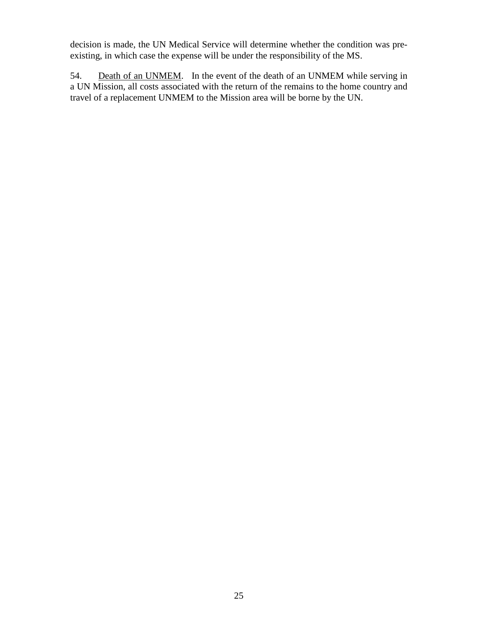decision is made, the UN Medical Service will determine whether the condition was preexisting, in which case the expense will be under the responsibility of the MS.

54. Death of an UNMEM. In the event of the death of an UNMEM while serving in a UN Mission, all costs associated with the return of the remains to the home country and travel of a replacement UNMEM to the Mission area will be borne by the UN.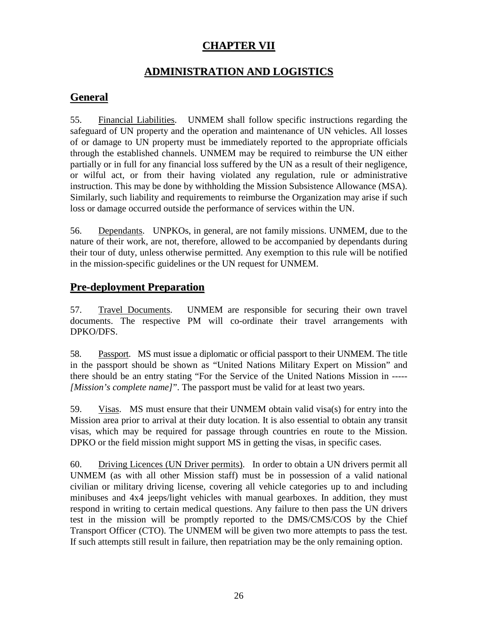## **CHAPTER VII**

## **ADMINISTRATION AND LOGISTICS**

## **General**

55. Financial Liabilities. UNMEM shall follow specific instructions regarding the safeguard of UN property and the operation and maintenance of UN vehicles. All losses of or damage to UN property must be immediately reported to the appropriate officials through the established channels. UNMEM may be required to reimburse the UN either partially or in full for any financial loss suffered by the UN as a result of their negligence, or wilful act, or from their having violated any regulation, rule or administrative instruction. This may be done by withholding the Mission Subsistence Allowance (MSA). Similarly, such liability and requirements to reimburse the Organization may arise if such loss or damage occurred outside the performance of services within the UN.

56. Dependants. UNPKOs, in general, are not family missions. UNMEM, due to the nature of their work, are not, therefore, allowed to be accompanied by dependants during their tour of duty, unless otherwise permitted. Any exemption to this rule will be notified in the mission-specific guidelines or the UN request for UNMEM.

#### **Pre-deployment Preparation**

57. Travel Documents. UNMEM are responsible for securing their own travel documents. The respective PM will co-ordinate their travel arrangements with DPKO/DFS.

58. Passport. MS must issue a diplomatic or official passport to their UNMEM. The title in the passport should be shown as "United Nations Military Expert on Mission" and there should be an entry stating "For the Service of the United Nations Mission in ----- *[Mission's complete name]*". The passport must be valid for at least two years.

59. Visas. MS must ensure that their UNMEM obtain valid visa(s) for entry into the Mission area prior to arrival at their duty location. It is also essential to obtain any transit visas, which may be required for passage through countries en route to the Mission. DPKO or the field mission might support MS in getting the visas, in specific cases.

60. Driving Licences (UN Driver permits). In order to obtain a UN drivers permit all UNMEM (as with all other Mission staff) must be in possession of a valid national civilian or military driving license, covering all vehicle categories up to and including minibuses and 4x4 jeeps/light vehicles with manual gearboxes. In addition, they must respond in writing to certain medical questions. Any failure to then pass the UN drivers test in the mission will be promptly reported to the DMS/CMS/COS by the Chief Transport Officer (CTO). The UNMEM will be given two more attempts to pass the test. If such attempts still result in failure, then repatriation may be the only remaining option.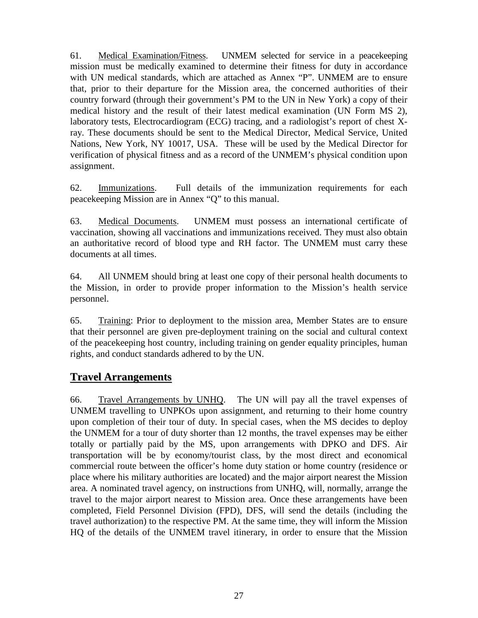61. Medical Examination/Fitness. UNMEM selected for service in a peacekeeping mission must be medically examined to determine their fitness for duty in accordance with UN medical standards, which are attached as Annex "P". UNMEM are to ensure that, prior to their departure for the Mission area, the concerned authorities of their country forward (through their government's PM to the UN in New York) a copy of their medical history and the result of their latest medical examination (UN Form MS 2), laboratory tests, Electrocardiogram (ECG) tracing, and a radiologist's report of chest Xray. These documents should be sent to the Medical Director, Medical Service, United Nations, New York, NY 10017, USA. These will be used by the Medical Director for verification of physical fitness and as a record of the UNMEM's physical condition upon assignment.

62. Immunizations. Full details of the immunization requirements for each peacekeeping Mission are in Annex "Q" to this manual.

63. Medical Documents. UNMEM must possess an international certificate of vaccination, showing all vaccinations and immunizations received. They must also obtain an authoritative record of blood type and RH factor. The UNMEM must carry these documents at all times.

64. All UNMEM should bring at least one copy of their personal health documents to the Mission, in order to provide proper information to the Mission's health service personnel.

65. Training: Prior to deployment to the mission area, Member States are to ensure that their personnel are given pre-deployment training on the social and cultural context of the peacekeeping host country, including training on gender equality principles, human rights, and conduct standards adhered to by the UN.

#### **Travel Arrangements**

66. Travel Arrangements by UNHQ. The UN will pay all the travel expenses of UNMEM travelling to UNPKOs upon assignment, and returning to their home country upon completion of their tour of duty. In special cases, when the MS decides to deploy the UNMEM for a tour of duty shorter than 12 months, the travel expenses may be either totally or partially paid by the MS, upon arrangements with DPKO and DFS. Air transportation will be by economy/tourist class, by the most direct and economical commercial route between the officer's home duty station or home country (residence or place where his military authorities are located) and the major airport nearest the Mission area. A nominated travel agency, on instructions from UNHQ, will, normally, arrange the travel to the major airport nearest to Mission area. Once these arrangements have been completed, Field Personnel Division (FPD), DFS, will send the details (including the travel authorization) to the respective PM. At the same time, they will inform the Mission HQ of the details of the UNMEM travel itinerary, in order to ensure that the Mission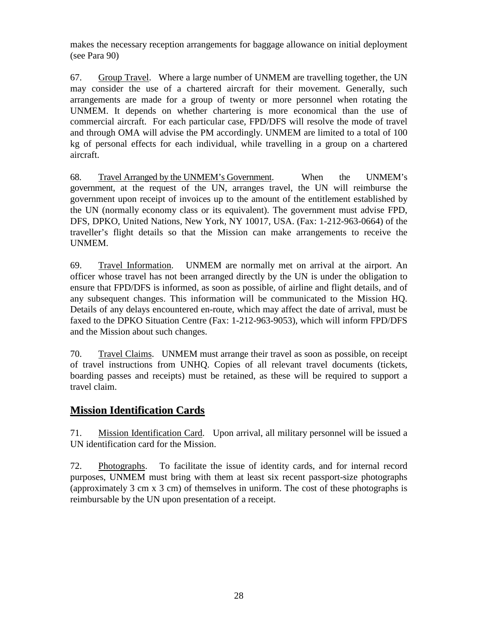makes the necessary reception arrangements for baggage allowance on initial deployment (see Para 90)

67. Group Travel. Where a large number of UNMEM are travelling together, the UN may consider the use of a chartered aircraft for their movement. Generally, such arrangements are made for a group of twenty or more personnel when rotating the UNMEM. It depends on whether chartering is more economical than the use of commercial aircraft. For each particular case, FPD/DFS will resolve the mode of travel and through OMA will advise the PM accordingly. UNMEM are limited to a total of 100 kg of personal effects for each individual, while travelling in a group on a chartered aircraft.

68. Travel Arranged by the UNMEM's Government. When the UNMEM's government, at the request of the UN, arranges travel, the UN will reimburse the government upon receipt of invoices up to the amount of the entitlement established by the UN (normally economy class or its equivalent). The government must advise FPD, DFS, DPKO, United Nations, New York, NY 10017, USA. (Fax: 1-212-963-0664) of the traveller's flight details so that the Mission can make arrangements to receive the UNMEM.

69. Travel Information. UNMEM are normally met on arrival at the airport. An officer whose travel has not been arranged directly by the UN is under the obligation to ensure that FPD/DFS is informed, as soon as possible, of airline and flight details, and of any subsequent changes. This information will be communicated to the Mission HQ. Details of any delays encountered en-route, which may affect the date of arrival, must be faxed to the DPKO Situation Centre (Fax: 1-212-963-9053), which will inform FPD/DFS and the Mission about such changes.

70. Travel Claims. UNMEM must arrange their travel as soon as possible, on receipt of travel instructions from UNHQ. Copies of all relevant travel documents (tickets, boarding passes and receipts) must be retained, as these will be required to support a travel claim.

## **Mission Identification Cards**

71. Mission Identification Card. Upon arrival, all military personnel will be issued a UN identification card for the Mission.

72. Photographs. To facilitate the issue of identity cards, and for internal record purposes, UNMEM must bring with them at least six recent passport-size photographs (approximately 3 cm x 3 cm) of themselves in uniform. The cost of these photographs is reimbursable by the UN upon presentation of a receipt.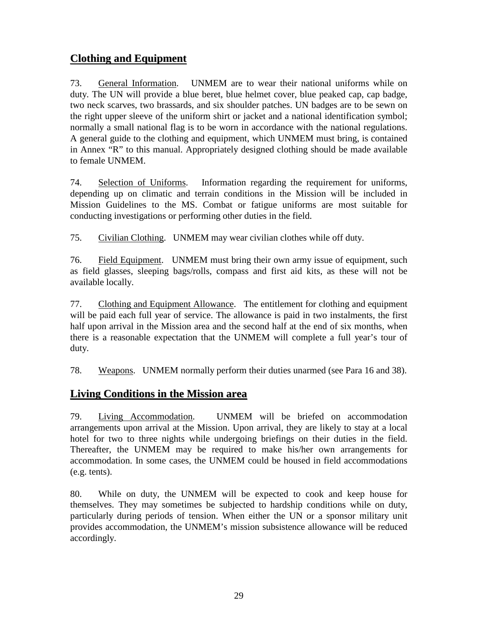## **Clothing and Equipment**

73. General Information. UNMEM are to wear their national uniforms while on duty. The UN will provide a blue beret, blue helmet cover, blue peaked cap, cap badge, two neck scarves, two brassards, and six shoulder patches. UN badges are to be sewn on the right upper sleeve of the uniform shirt or jacket and a national identification symbol; normally a small national flag is to be worn in accordance with the national regulations. A general guide to the clothing and equipment, which UNMEM must bring, is contained in Annex "R" to this manual. Appropriately designed clothing should be made available to female UNMEM.

74. Selection of Uniforms. Information regarding the requirement for uniforms, depending up on climatic and terrain conditions in the Mission will be included in Mission Guidelines to the MS. Combat or fatigue uniforms are most suitable for conducting investigations or performing other duties in the field.

75. Civilian Clothing. UNMEM may wear civilian clothes while off duty.

76. Field Equipment. UNMEM must bring their own army issue of equipment, such as field glasses, sleeping bags/rolls, compass and first aid kits, as these will not be available locally.

77. Clothing and Equipment Allowance. The entitlement for clothing and equipment will be paid each full year of service. The allowance is paid in two instalments, the first half upon arrival in the Mission area and the second half at the end of six months, when there is a reasonable expectation that the UNMEM will complete a full year's tour of duty.

78. Weapons. UNMEM normally perform their duties unarmed (see Para 16 and 38).

#### **Living Conditions in the Mission area**

79. Living Accommodation. UNMEM will be briefed on accommodation arrangements upon arrival at the Mission. Upon arrival, they are likely to stay at a local hotel for two to three nights while undergoing briefings on their duties in the field. Thereafter, the UNMEM may be required to make his/her own arrangements for accommodation. In some cases, the UNMEM could be housed in field accommodations (e.g. tents).

80. While on duty, the UNMEM will be expected to cook and keep house for themselves. They may sometimes be subjected to hardship conditions while on duty, particularly during periods of tension. When either the UN or a sponsor military unit provides accommodation, the UNMEM's mission subsistence allowance will be reduced accordingly.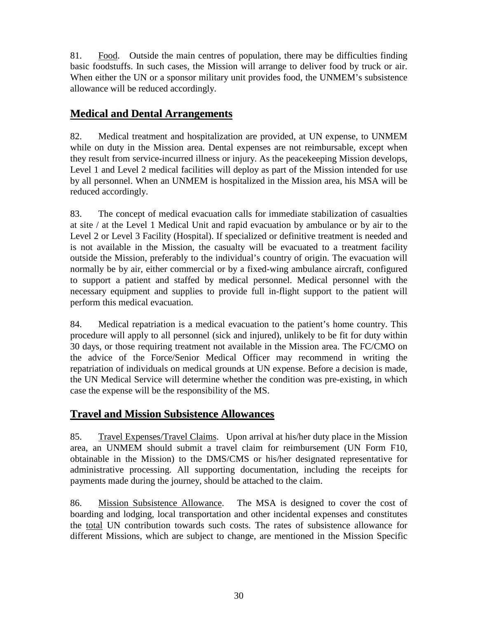81. Food. Outside the main centres of population, there may be difficulties finding basic foodstuffs. In such cases, the Mission will arrange to deliver food by truck or air. When either the UN or a sponsor military unit provides food, the UNMEM's subsistence allowance will be reduced accordingly.

## **Medical and Dental Arrangements**

82. Medical treatment and hospitalization are provided, at UN expense, to UNMEM while on duty in the Mission area. Dental expenses are not reimbursable, except when they result from service-incurred illness or injury. As the peacekeeping Mission develops, Level 1 and Level 2 medical facilities will deploy as part of the Mission intended for use by all personnel. When an UNMEM is hospitalized in the Mission area, his MSA will be reduced accordingly.

83. The concept of medical evacuation calls for immediate stabilization of casualties at site / at the Level 1 Medical Unit and rapid evacuation by ambulance or by air to the Level 2 or Level 3 Facility (Hospital). If specialized or definitive treatment is needed and is not available in the Mission, the casualty will be evacuated to a treatment facility outside the Mission, preferably to the individual's country of origin. The evacuation will normally be by air, either commercial or by a fixed-wing ambulance aircraft, configured to support a patient and staffed by medical personnel. Medical personnel with the necessary equipment and supplies to provide full in-flight support to the patient will perform this medical evacuation.

84. Medical repatriation is a medical evacuation to the patient's home country. This procedure will apply to all personnel (sick and injured), unlikely to be fit for duty within 30 days, or those requiring treatment not available in the Mission area. The FC/CMO on the advice of the Force/Senior Medical Officer may recommend in writing the repatriation of individuals on medical grounds at UN expense. Before a decision is made, the UN Medical Service will determine whether the condition was pre-existing, in which case the expense will be the responsibility of the MS.

## **Travel and Mission Subsistence Allowances**

85. Travel Expenses/Travel Claims. Upon arrival at his/her duty place in the Mission area, an UNMEM should submit a travel claim for reimbursement (UN Form F10, obtainable in the Mission) to the DMS/CMS or his/her designated representative for administrative processing. All supporting documentation, including the receipts for payments made during the journey, should be attached to the claim.

86. Mission Subsistence Allowance. The MSA is designed to cover the cost of boarding and lodging, local transportation and other incidental expenses and constitutes the total UN contribution towards such costs. The rates of subsistence allowance for different Missions, which are subject to change, are mentioned in the Mission Specific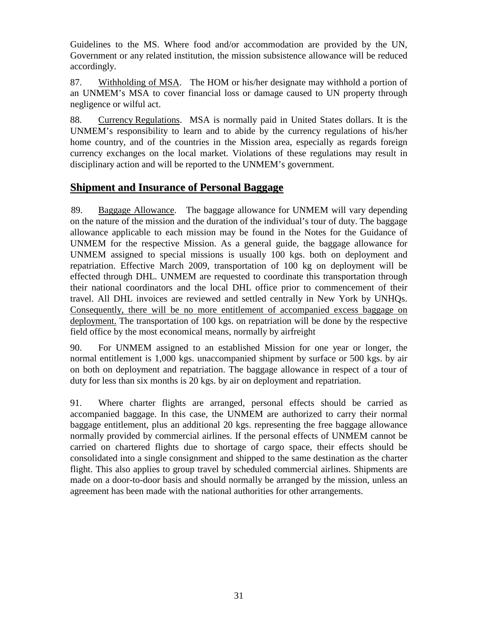Guidelines to the MS. Where food and/or accommodation are provided by the UN, Government or any related institution, the mission subsistence allowance will be reduced accordingly.

87. Withholding of MSA. The HOM or his/her designate may withhold a portion of an UNMEM's MSA to cover financial loss or damage caused to UN property through negligence or wilful act.

88. Currency Regulations. MSA is normally paid in United States dollars. It is the UNMEM's responsibility to learn and to abide by the currency regulations of his/her home country, and of the countries in the Mission area, especially as regards foreign currency exchanges on the local market. Violations of these regulations may result in disciplinary action and will be reported to the UNMEM's government.

## **Shipment and Insurance of Personal Baggage**

89. Baggage Allowance. The baggage allowance for UNMEM will vary depending on the nature of the mission and the duration of the individual's tour of duty. The baggage allowance applicable to each mission may be found in the Notes for the Guidance of UNMEM for the respective Mission. As a general guide, the baggage allowance for UNMEM assigned to special missions is usually 100 kgs. both on deployment and repatriation. Effective March 2009, transportation of 100 kg on deployment will be effected through DHL. UNMEM are requested to coordinate this transportation through their national coordinators and the local DHL office prior to commencement of their travel. All DHL invoices are reviewed and settled centrally in New York by UNHQs. Consequently, there will be no more entitlement of accompanied excess baggage on deployment. The transportation of 100 kgs. on repatriation will be done by the respective field office by the most economical means, normally by airfreight

90. For UNMEM assigned to an established Mission for one year or longer, the normal entitlement is 1,000 kgs. unaccompanied shipment by surface or 500 kgs. by air on both on deployment and repatriation. The baggage allowance in respect of a tour of duty for less than six months is 20 kgs. by air on deployment and repatriation.

91. Where charter flights are arranged, personal effects should be carried as accompanied baggage. In this case, the UNMEM are authorized to carry their normal baggage entitlement, plus an additional 20 kgs. representing the free baggage allowance normally provided by commercial airlines. If the personal effects of UNMEM cannot be carried on chartered flights due to shortage of cargo space, their effects should be consolidated into a single consignment and shipped to the same destination as the charter flight. This also applies to group travel by scheduled commercial airlines. Shipments are made on a door-to-door basis and should normally be arranged by the mission, unless an agreement has been made with the national authorities for other arrangements.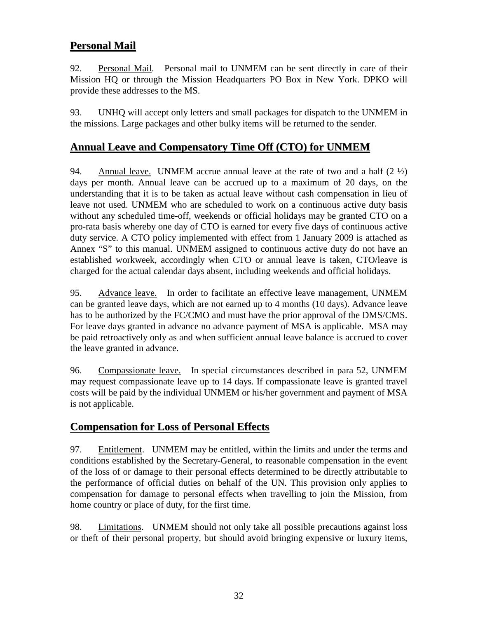## **Personal Mail**

92. Personal Mail. Personal mail to UNMEM can be sent directly in care of their Mission HQ or through the Mission Headquarters PO Box in New York. DPKO will provide these addresses to the MS.

93. UNHQ will accept only letters and small packages for dispatch to the UNMEM in the missions. Large packages and other bulky items will be returned to the sender.

## **Annual Leave and Compensatory Time Off (CTO) for UNMEM**

94. Annual leave. UNMEM accrue annual leave at the rate of two and a half  $(2 \frac{1}{2})$ days per month. Annual leave can be accrued up to a maximum of 20 days, on the understanding that it is to be taken as actual leave without cash compensation in lieu of leave not used. UNMEM who are scheduled to work on a continuous active duty basis without any scheduled time-off, weekends or official holidays may be granted CTO on a pro-rata basis whereby one day of CTO is earned for every five days of continuous active duty service. A CTO policy implemented with effect from 1 January 2009 is attached as Annex "S" to this manual. UNMEM assigned to continuous active duty do not have an established workweek, accordingly when CTO or annual leave is taken, CTO/leave is charged for the actual calendar days absent, including weekends and official holidays.

95. Advance leave. In order to facilitate an effective leave management, UNMEM can be granted leave days, which are not earned up to 4 months (10 days). Advance leave has to be authorized by the FC/CMO and must have the prior approval of the DMS/CMS. For leave days granted in advance no advance payment of MSA is applicable. MSA may be paid retroactively only as and when sufficient annual leave balance is accrued to cover the leave granted in advance.

96. Compassionate leave. In special circumstances described in para 52, UNMEM may request compassionate leave up to 14 days. If compassionate leave is granted travel costs will be paid by the individual UNMEM or his/her government and payment of MSA is not applicable.

#### **Compensation for Loss of Personal Effects**

97. Entitlement. UNMEM may be entitled, within the limits and under the terms and conditions established by the Secretary-General, to reasonable compensation in the event of the loss of or damage to their personal effects determined to be directly attributable to the performance of official duties on behalf of the UN. This provision only applies to compensation for damage to personal effects when travelling to join the Mission, from home country or place of duty, for the first time.

98. Limitations. UNMEM should not only take all possible precautions against loss or theft of their personal property, but should avoid bringing expensive or luxury items,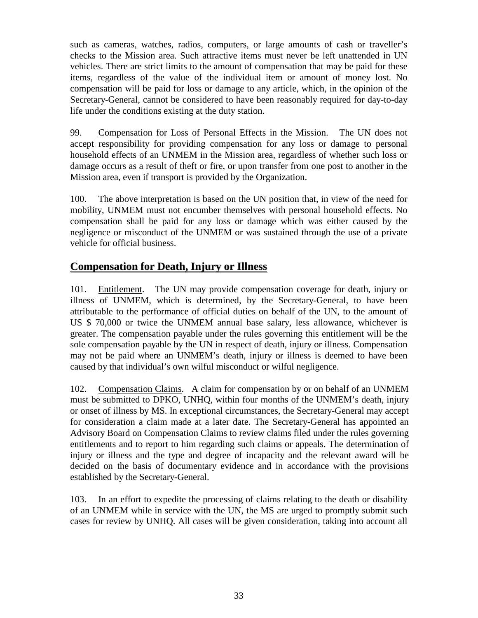such as cameras, watches, radios, computers, or large amounts of cash or traveller's checks to the Mission area. Such attractive items must never be left unattended in UN vehicles. There are strict limits to the amount of compensation that may be paid for these items, regardless of the value of the individual item or amount of money lost. No compensation will be paid for loss or damage to any article, which, in the opinion of the Secretary-General, cannot be considered to have been reasonably required for day-to-day life under the conditions existing at the duty station.

99. Compensation for Loss of Personal Effects in the Mission. The UN does not accept responsibility for providing compensation for any loss or damage to personal household effects of an UNMEM in the Mission area, regardless of whether such loss or damage occurs as a result of theft or fire, or upon transfer from one post to another in the Mission area, even if transport is provided by the Organization.

100. The above interpretation is based on the UN position that, in view of the need for mobility, UNMEM must not encumber themselves with personal household effects. No compensation shall be paid for any loss or damage which was either caused by the negligence or misconduct of the UNMEM or was sustained through the use of a private vehicle for official business.

## **Compensation for Death, Injury or Illness**

101. Entitlement. The UN may provide compensation coverage for death, injury or illness of UNMEM, which is determined, by the Secretary-General, to have been attributable to the performance of official duties on behalf of the UN, to the amount of US \$ 70,000 or twice the UNMEM annual base salary, less allowance, whichever is greater. The compensation payable under the rules governing this entitlement will be the sole compensation payable by the UN in respect of death, injury or illness. Compensation may not be paid where an UNMEM's death, injury or illness is deemed to have been caused by that individual's own wilful misconduct or wilful negligence.

102. Compensation Claims. A claim for compensation by or on behalf of an UNMEM must be submitted to DPKO, UNHQ, within four months of the UNMEM's death, injury or onset of illness by MS. In exceptional circumstances, the Secretary-General may accept for consideration a claim made at a later date. The Secretary-General has appointed an Advisory Board on Compensation Claims to review claims filed under the rules governing entitlements and to report to him regarding such claims or appeals. The determination of injury or illness and the type and degree of incapacity and the relevant award will be decided on the basis of documentary evidence and in accordance with the provisions established by the Secretary-General.

103. In an effort to expedite the processing of claims relating to the death or disability of an UNMEM while in service with the UN, the MS are urged to promptly submit such cases for review by UNHQ. All cases will be given consideration, taking into account all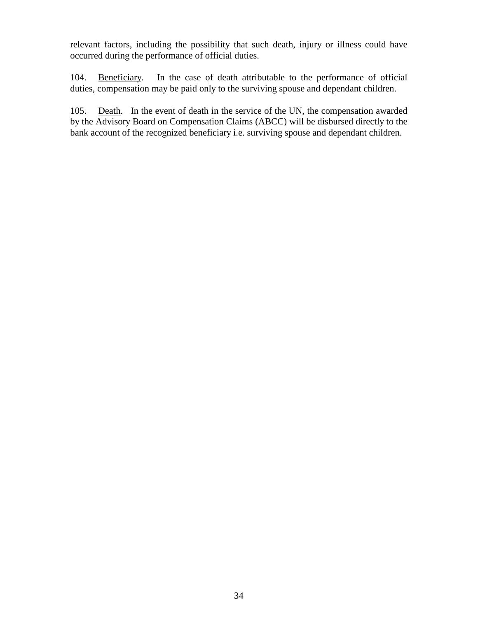relevant factors, including the possibility that such death, injury or illness could have occurred during the performance of official duties.

104. Beneficiary. In the case of death attributable to the performance of official duties, compensation may be paid only to the surviving spouse and dependant children.

105. Death. In the event of death in the service of the UN, the compensation awarded by the Advisory Board on Compensation Claims (ABCC) will be disbursed directly to the bank account of the recognized beneficiary i.e. surviving spouse and dependant children.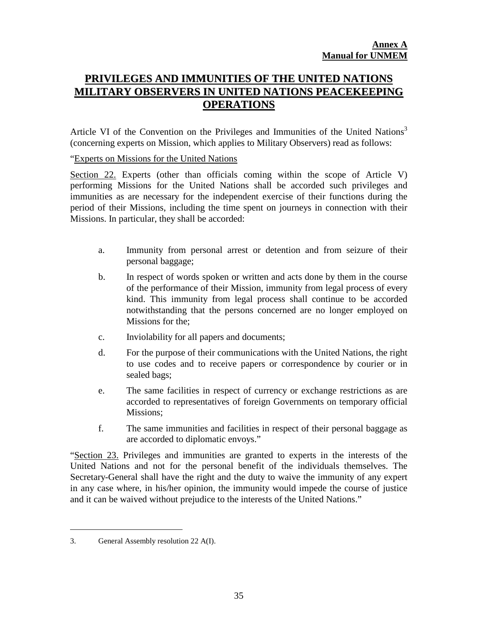# **PRIVILEGES AND IMMUNITIES OF THE UNITED NATIONS MILITARY OBSERVERS IN UNITED NATIONS PEACEKEEPING OPERATIONS**

Article VI of the Convention on the Privileges and Immunities of the United Nations<sup>3</sup> (concerning experts on Mission, which applies to Military Observers) read as follows:

"Experts on Missions for the United Nations

Section 22. Experts (other than officials coming within the scope of Article V) performing Missions for the United Nations shall be accorded such privileges and immunities as are necessary for the independent exercise of their functions during the period of their Missions, including the time spent on journeys in connection with their Missions. In particular, they shall be accorded:

- a. Immunity from personal arrest or detention and from seizure of their personal baggage;
- b. In respect of words spoken or written and acts done by them in the course of the performance of their Mission, immunity from legal process of every kind. This immunity from legal process shall continue to be accorded notwithstanding that the persons concerned are no longer employed on Missions for the;
- c. Inviolability for all papers and documents;
- d. For the purpose of their communications with the United Nations, the right to use codes and to receive papers or correspondence by courier or in sealed bags;
- e. The same facilities in respect of currency or exchange restrictions as are accorded to representatives of foreign Governments on temporary official Missions;
- f. The same immunities and facilities in respect of their personal baggage as are accorded to diplomatic envoys."

"Section 23. Privileges and immunities are granted to experts in the interests of the United Nations and not for the personal benefit of the individuals themselves. The Secretary-General shall have the right and the duty to waive the immunity of any expert in any case where, in his/her opinion, the immunity would impede the course of justice and it can be waived without prejudice to the interests of the United Nations."

 $\overline{a}$ 

<sup>3.</sup> General Assembly resolution 22 A(I).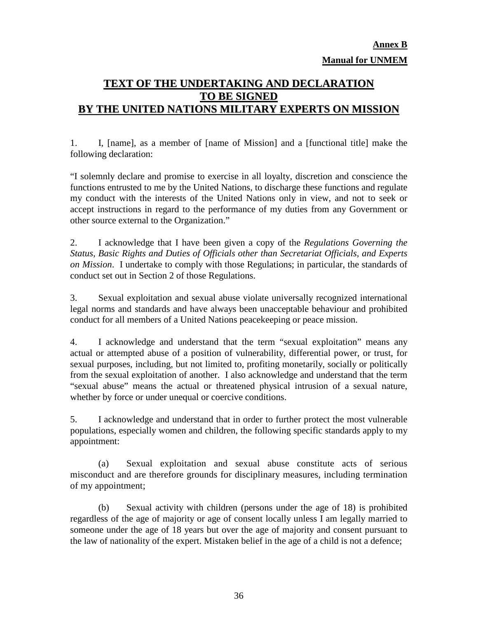# **TEXT OF THE UNDERTAKING AND DECLARATION TO BE SIGNED BY THE UNITED NATIONS MILITARY EXPERTS ON MISSION**

1. I, [name], as a member of [name of Mission] and a [functional title] make the following declaration:

"I solemnly declare and promise to exercise in all loyalty, discretion and conscience the functions entrusted to me by the United Nations, to discharge these functions and regulate my conduct with the interests of the United Nations only in view, and not to seek or accept instructions in regard to the performance of my duties from any Government or other source external to the Organization."

2. I acknowledge that I have been given a copy of the *Regulations Governing the Status, Basic Rights and Duties of Officials other than Secretariat Officials, and Experts on Mission*. I undertake to comply with those Regulations; in particular, the standards of conduct set out in Section 2 of those Regulations.

3. Sexual exploitation and sexual abuse violate universally recognized international legal norms and standards and have always been unacceptable behaviour and prohibited conduct for all members of a United Nations peacekeeping or peace mission.

4. I acknowledge and understand that the term "sexual exploitation" means any actual or attempted abuse of a position of vulnerability, differential power, or trust, for sexual purposes, including, but not limited to, profiting monetarily, socially or politically from the sexual exploitation of another. I also acknowledge and understand that the term "sexual abuse" means the actual or threatened physical intrusion of a sexual nature, whether by force or under unequal or coercive conditions.

5. I acknowledge and understand that in order to further protect the most vulnerable populations, especially women and children, the following specific standards apply to my appointment:

 (a) Sexual exploitation and sexual abuse constitute acts of serious misconduct and are therefore grounds for disciplinary measures, including termination of my appointment;

 (b) Sexual activity with children (persons under the age of 18) is prohibited regardless of the age of majority or age of consent locally unless I am legally married to someone under the age of 18 years but over the age of majority and consent pursuant to the law of nationality of the expert. Mistaken belief in the age of a child is not a defence;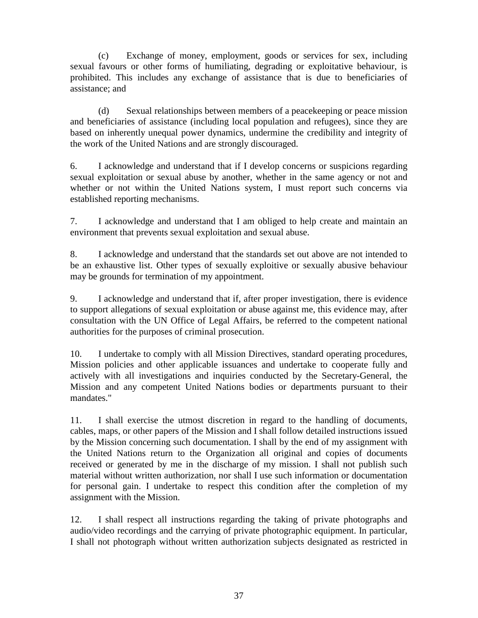(c) Exchange of money, employment, goods or services for sex, including sexual favours or other forms of humiliating, degrading or exploitative behaviour, is prohibited. This includes any exchange of assistance that is due to beneficiaries of assistance; and

 (d) Sexual relationships between members of a peacekeeping or peace mission and beneficiaries of assistance (including local population and refugees), since they are based on inherently unequal power dynamics, undermine the credibility and integrity of the work of the United Nations and are strongly discouraged.

6. I acknowledge and understand that if I develop concerns or suspicions regarding sexual exploitation or sexual abuse by another, whether in the same agency or not and whether or not within the United Nations system, I must report such concerns via established reporting mechanisms.

7. I acknowledge and understand that I am obliged to help create and maintain an environment that prevents sexual exploitation and sexual abuse.

8. I acknowledge and understand that the standards set out above are not intended to be an exhaustive list. Other types of sexually exploitive or sexually abusive behaviour may be grounds for termination of my appointment.

9. I acknowledge and understand that if, after proper investigation, there is evidence to support allegations of sexual exploitation or abuse against me, this evidence may, after consultation with the UN Office of Legal Affairs, be referred to the competent national authorities for the purposes of criminal prosecution.

10. I undertake to comply with all Mission Directives, standard operating procedures, Mission policies and other applicable issuances and undertake to cooperate fully and actively with all investigations and inquiries conducted by the Secretary-General, the Mission and any competent United Nations bodies or departments pursuant to their mandates."

11. I shall exercise the utmost discretion in regard to the handling of documents, cables, maps, or other papers of the Mission and I shall follow detailed instructions issued by the Mission concerning such documentation. I shall by the end of my assignment with the United Nations return to the Organization all original and copies of documents received or generated by me in the discharge of my mission. I shall not publish such material without written authorization, nor shall I use such information or documentation for personal gain. I undertake to respect this condition after the completion of my assignment with the Mission.

12. I shall respect all instructions regarding the taking of private photographs and audio/video recordings and the carrying of private photographic equipment. In particular, I shall not photograph without written authorization subjects designated as restricted in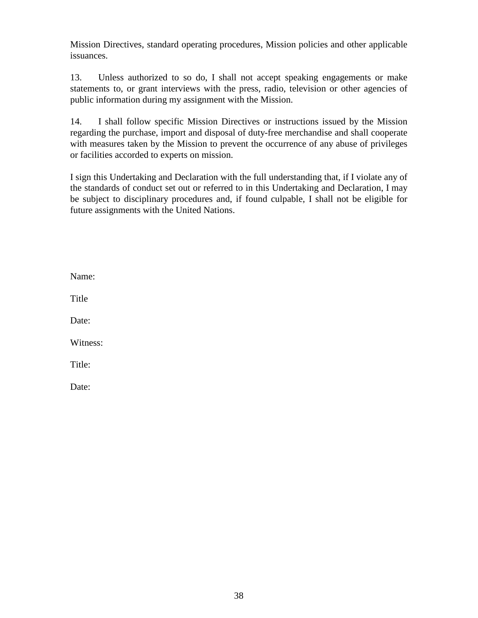Mission Directives, standard operating procedures, Mission policies and other applicable issuances.

13. Unless authorized to so do, I shall not accept speaking engagements or make statements to, or grant interviews with the press, radio, television or other agencies of public information during my assignment with the Mission.

14. I shall follow specific Mission Directives or instructions issued by the Mission regarding the purchase, import and disposal of duty-free merchandise and shall cooperate with measures taken by the Mission to prevent the occurrence of any abuse of privileges or facilities accorded to experts on mission.

I sign this Undertaking and Declaration with the full understanding that, if I violate any of the standards of conduct set out or referred to in this Undertaking and Declaration, I may be subject to disciplinary procedures and, if found culpable, I shall not be eligible for future assignments with the United Nations.

| Name:    |  |
|----------|--|
| Title    |  |
| Date:    |  |
| Witness: |  |
| Title:   |  |
| Date:    |  |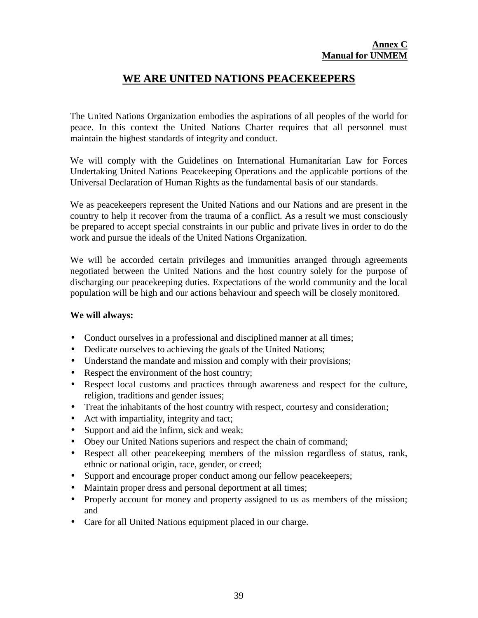# **WE ARE UNITED NATIONS PEACEKEEPERS**

The United Nations Organization embodies the aspirations of all peoples of the world for peace. In this context the United Nations Charter requires that all personnel must maintain the highest standards of integrity and conduct.

We will comply with the Guidelines on International Humanitarian Law for Forces Undertaking United Nations Peacekeeping Operations and the applicable portions of the Universal Declaration of Human Rights as the fundamental basis of our standards.

We as peacekeepers represent the United Nations and our Nations and are present in the country to help it recover from the trauma of a conflict. As a result we must consciously be prepared to accept special constraints in our public and private lives in order to do the work and pursue the ideals of the United Nations Organization.

We will be accorded certain privileges and immunities arranged through agreements negotiated between the United Nations and the host country solely for the purpose of discharging our peacekeeping duties. Expectations of the world community and the local population will be high and our actions behaviour and speech will be closely monitored.

#### **We will always:**

- Conduct ourselves in a professional and disciplined manner at all times;
- Dedicate ourselves to achieving the goals of the United Nations;
- Understand the mandate and mission and comply with their provisions;
- Respect the environment of the host country;
- Respect local customs and practices through awareness and respect for the culture, religion, traditions and gender issues;
- Treat the inhabitants of the host country with respect, courtesy and consideration;
- Act with impartiality, integrity and tact;
- Support and aid the infirm, sick and weak;
- Obey our United Nations superiors and respect the chain of command;
- Respect all other peacekeeping members of the mission regardless of status, rank, ethnic or national origin, race, gender, or creed;
- Support and encourage proper conduct among our fellow peacekeepers;
- Maintain proper dress and personal deportment at all times;
- Properly account for money and property assigned to us as members of the mission; and
- Care for all United Nations equipment placed in our charge.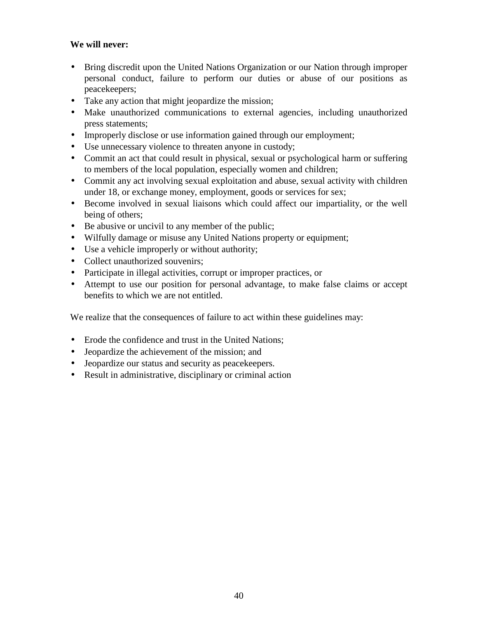#### **We will never:**

- Bring discredit upon the United Nations Organization or our Nation through improper personal conduct, failure to perform our duties or abuse of our positions as peacekeepers;
- Take any action that might jeopardize the mission;
- Make unauthorized communications to external agencies, including unauthorized press statements;
- Improperly disclose or use information gained through our employment;
- Use unnecessary violence to threaten anyone in custody;
- Commit an act that could result in physical, sexual or psychological harm or suffering to members of the local population, especially women and children;
- Commit any act involving sexual exploitation and abuse, sexual activity with children under 18, or exchange money, employment, goods or services for sex;
- Become involved in sexual liaisons which could affect our impartiality, or the well being of others;
- Be abusive or uncivil to any member of the public;
- Wilfully damage or misuse any United Nations property or equipment;
- Use a vehicle improperly or without authority;
- Collect unauthorized souvenirs:
- Participate in illegal activities, corrupt or improper practices, or
- Attempt to use our position for personal advantage, to make false claims or accept benefits to which we are not entitled.

We realize that the consequences of failure to act within these guidelines may:

- Erode the confidence and trust in the United Nations;
- Jeopardize the achievement of the mission; and
- Jeopardize our status and security as peacekeepers.
- Result in administrative, disciplinary or criminal action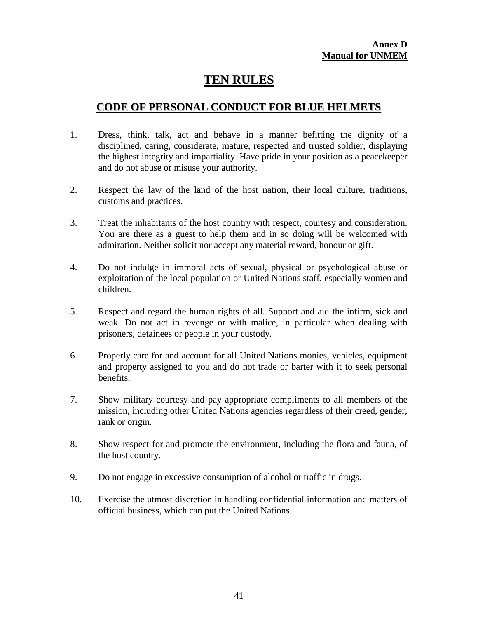# **TEN RULES**

# **CODE OF PERSONAL CONDUCT FOR BLUE HELMETS**

- 1. Dress, think, talk, act and behave in a manner befitting the dignity of a disciplined, caring, considerate, mature, respected and trusted soldier, displaying the highest integrity and impartiality. Have pride in your position as a peacekeeper and do not abuse or misuse your authority.
- 2. Respect the law of the land of the host nation, their local culture, traditions, customs and practices.
- 3. Treat the inhabitants of the host country with respect, courtesy and consideration. You are there as a guest to help them and in so doing will be welcomed with admiration. Neither solicit nor accept any material reward, honour or gift.
- 4. Do not indulge in immoral acts of sexual, physical or psychological abuse or exploitation of the local population or United Nations staff, especially women and children.
- 5. Respect and regard the human rights of all. Support and aid the infirm, sick and weak. Do not act in revenge or with malice, in particular when dealing with prisoners, detainees or people in your custody.
- 6. Properly care for and account for all United Nations monies, vehicles, equipment and property assigned to you and do not trade or barter with it to seek personal benefits.
- 7. Show military courtesy and pay appropriate compliments to all members of the mission, including other United Nations agencies regardless of their creed, gender, rank or origin.
- 8. Show respect for and promote the environment, including the flora and fauna, of the host country.
- 9. Do not engage in excessive consumption of alcohol or traffic in drugs.
- 10. Exercise the utmost discretion in handling confidential information and matters of official business, which can put the United Nations.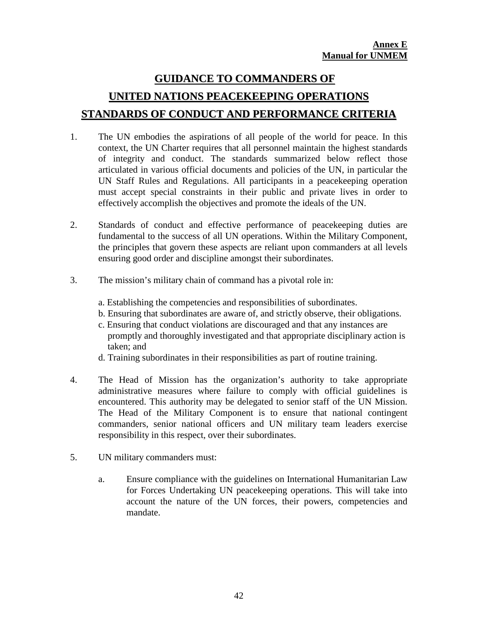# **GUIDANCE TO COMMANDERS OF UNITED NATIONS PEACEKEEPING OPERATIONS STANDARDS OF CONDUCT AND PERFORMANCE CRITERIA**

- 1. The UN embodies the aspirations of all people of the world for peace. In this context, the UN Charter requires that all personnel maintain the highest standards of integrity and conduct. The standards summarized below reflect those articulated in various official documents and policies of the UN, in particular the UN Staff Rules and Regulations. All participants in a peacekeeping operation must accept special constraints in their public and private lives in order to effectively accomplish the objectives and promote the ideals of the UN.
- 2. Standards of conduct and effective performance of peacekeeping duties are fundamental to the success of all UN operations. Within the Military Component, the principles that govern these aspects are reliant upon commanders at all levels ensuring good order and discipline amongst their subordinates.
- 3. The mission's military chain of command has a pivotal role in:
	- a. Establishing the competencies and responsibilities of subordinates.
	- b. Ensuring that subordinates are aware of, and strictly observe, their obligations.
	- c. Ensuring that conduct violations are discouraged and that any instances are promptly and thoroughly investigated and that appropriate disciplinary action is taken; and
	- d. Training subordinates in their responsibilities as part of routine training.
- 4. The Head of Mission has the organization's authority to take appropriate administrative measures where failure to comply with official guidelines is encountered. This authority may be delegated to senior staff of the UN Mission. The Head of the Military Component is to ensure that national contingent commanders, senior national officers and UN military team leaders exercise responsibility in this respect, over their subordinates.
- 5. UN military commanders must:
	- a. Ensure compliance with the guidelines on International Humanitarian Law for Forces Undertaking UN peacekeeping operations. This will take into account the nature of the UN forces, their powers, competencies and mandate.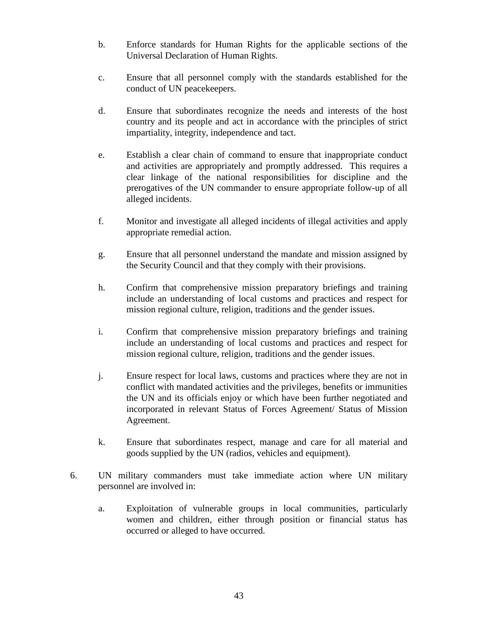- b. Enforce standards for Human Rights for the applicable sections of the Universal Declaration of Human Rights.
- c. Ensure that all personnel comply with the standards established for the conduct of UN peacekeepers.
- d. Ensure that subordinates recognize the needs and interests of the host country and its people and act in accordance with the principles of strict impartiality, integrity, independence and tact.
- e. Establish a clear chain of command to ensure that inappropriate conduct and activities are appropriately and promptly addressed. This requires a clear linkage of the national responsibilities for discipline and the prerogatives of the UN commander to ensure appropriate follow-up of all alleged incidents.
- f. Monitor and investigate all alleged incidents of illegal activities and apply appropriate remedial action.
- g. Ensure that all personnel understand the mandate and mission assigned by the Security Council and that they comply with their provisions.
- h. Confirm that comprehensive mission preparatory briefings and training include an understanding of local customs and practices and respect for mission regional culture, religion, traditions and the gender issues.
- i. Confirm that comprehensive mission preparatory briefings and training include an understanding of local customs and practices and respect for mission regional culture, religion, traditions and the gender issues.
- j. Ensure respect for local laws, customs and practices where they are not in conflict with mandated activities and the privileges, benefits or immunities the UN and its officials enjoy or which have been further negotiated and incorporated in relevant Status of Forces Agreement/ Status of Mission Agreement.
- k. Ensure that subordinates respect, manage and care for all material and goods supplied by the UN (radios, vehicles and equipment).
- 6. UN military commanders must take immediate action where UN military personnel are involved in:
	- a. Exploitation of vulnerable groups in local communities, particularly women and children, either through position or financial status has occurred or alleged to have occurred.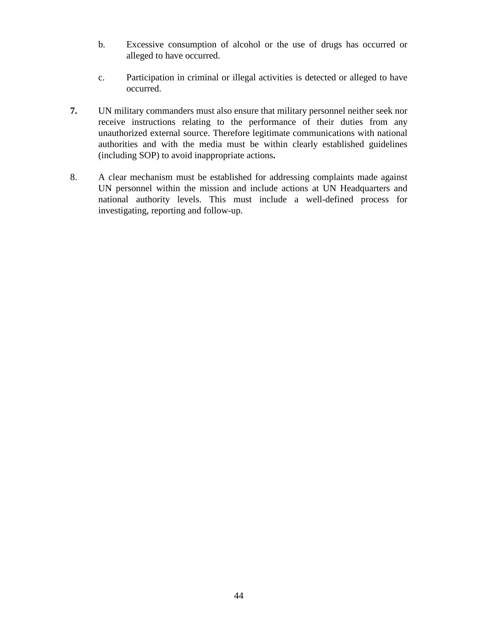- b. Excessive consumption of alcohol or the use of drugs has occurred or alleged to have occurred.
- c. Participation in criminal or illegal activities is detected or alleged to have occurred.
- **7.** UN military commanders must also ensure that military personnel neither seek nor receive instructions relating to the performance of their duties from any unauthorized external source. Therefore legitimate communications with national authorities and with the media must be within clearly established guidelines (including SOP) to avoid inappropriate actions**.**
- 8. A clear mechanism must be established for addressing complaints made against UN personnel within the mission and include actions at UN Headquarters and national authority levels. This must include a well-defined process for investigating, reporting and follow-up.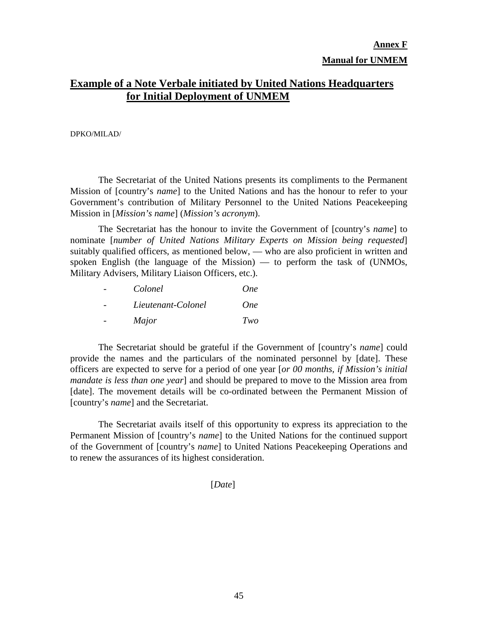# **Example of a Note Verbale initiated by United Nations Headquarters for Initial Deployment of UNMEM**

DPKO/MILAD/

The Secretariat of the United Nations presents its compliments to the Permanent Mission of [country's *name*] to the United Nations and has the honour to refer to your Government's contribution of Military Personnel to the United Nations Peacekeeping Mission in [*Mission's name*] (*Mission's acronym*).

The Secretariat has the honour to invite the Government of [country's *name*] to nominate [*number of United Nations Military Experts on Mission being requested*] suitably qualified officers, as mentioned below, — who are also proficient in written and spoken English (the language of the Mission) — to perform the task of  $(UNMOs,$ Military Advisers, Military Liaison Officers, etc.).

| Colonel            | <i>One</i> |
|--------------------|------------|
| Lieutenant-Colonel | <i>One</i> |
| Major              | Two        |

The Secretariat should be grateful if the Government of [country's *name*] could provide the names and the particulars of the nominated personnel by [date]. These officers are expected to serve for a period of one year [*or 00 months, if Mission's initial mandate is less than one year*] and should be prepared to move to the Mission area from [date]. The movement details will be co-ordinated between the Permanent Mission of [country's *name*] and the Secretariat.

The Secretariat avails itself of this opportunity to express its appreciation to the Permanent Mission of [country's *name*] to the United Nations for the continued support of the Government of [country's *name*] to United Nations Peacekeeping Operations and to renew the assurances of its highest consideration.

#### [*Date*]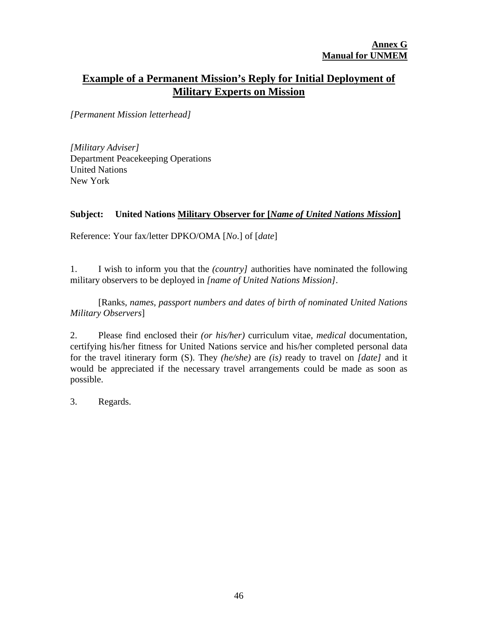# **Example of a Permanent Mission's Reply for Initial Deployment of Military Experts on Mission**

*[Permanent Mission letterhead]*

*[Military Adviser]* Department Peacekeeping Operations United Nations New York

#### **Subject: United Nations Military Observer for [***Name of United Nations Mission***]**

Reference: Your fax/letter DPKO/OMA [*No*.] of [*date*]

1. I wish to inform you that the *(country]* authorities have nominated the following military observers to be deployed in *[name of United Nations Mission].*

 [Ranks*, names, passport numbers and dates of birth of nominated United Nations Military Observers*]

2. Please find enclosed their *(or his/her)* curriculum vitae, *medical* documentation, certifying his/her fitness for United Nations service and his/her completed personal data for the travel itinerary form (S). They *(he/she)* are *(is)* ready to travel on *[date]* and it would be appreciated if the necessary travel arrangements could be made as soon as possible.

3. Regards.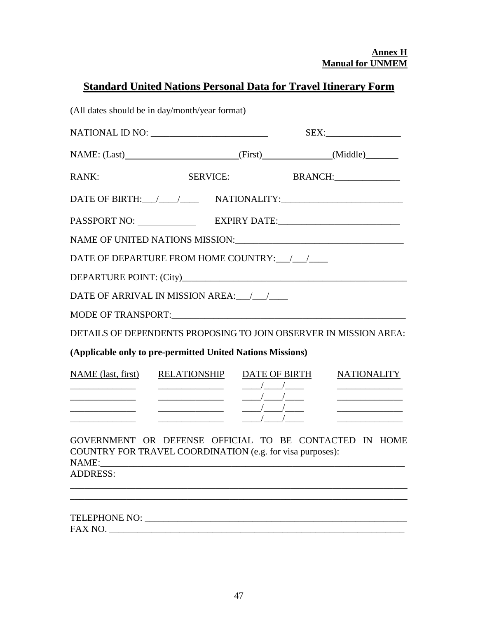# **Standard United Nations Personal Data for Travel Itinerary Form**

|                                                                                                  | (All dates should be in day/month/year format)                                                                                                                                                                                                                                                                                                |                                                                                                                                            |                                                                                                                        |  |  |
|--------------------------------------------------------------------------------------------------|-----------------------------------------------------------------------------------------------------------------------------------------------------------------------------------------------------------------------------------------------------------------------------------------------------------------------------------------------|--------------------------------------------------------------------------------------------------------------------------------------------|------------------------------------------------------------------------------------------------------------------------|--|--|
|                                                                                                  |                                                                                                                                                                                                                                                                                                                                               |                                                                                                                                            |                                                                                                                        |  |  |
|                                                                                                  |                                                                                                                                                                                                                                                                                                                                               |                                                                                                                                            | NAME: (Last)____________________________(First)______________(Middle)___________                                       |  |  |
|                                                                                                  | RANK: SERVICE: BRANCH:                                                                                                                                                                                                                                                                                                                        |                                                                                                                                            |                                                                                                                        |  |  |
|                                                                                                  |                                                                                                                                                                                                                                                                                                                                               |                                                                                                                                            |                                                                                                                        |  |  |
|                                                                                                  |                                                                                                                                                                                                                                                                                                                                               |                                                                                                                                            |                                                                                                                        |  |  |
|                                                                                                  |                                                                                                                                                                                                                                                                                                                                               |                                                                                                                                            | NAME OF UNITED NATIONS MISSION: University of the UNITED SATIONS MISSION:                                              |  |  |
|                                                                                                  | DATE OF DEPARTURE FROM HOME COUNTRY: \\cdot \\cdot \\cdot \\cdot \\cdot \\cdot \\cdot \\cdot \\cdot \\cdot \\cdot \\cdot \\cdot \\cdot \\cdot \\cdot \\cdot \\cdot \\cdot \\cdot \\cdot \\cdot \\cdot \\cdot \\cdot \\cdot \\c                                                                                                                |                                                                                                                                            |                                                                                                                        |  |  |
|                                                                                                  |                                                                                                                                                                                                                                                                                                                                               |                                                                                                                                            |                                                                                                                        |  |  |
|                                                                                                  | DATE OF ARRIVAL IN MISSION AREA: \[\]                                                                                                                                                                                                                                                                                                         |                                                                                                                                            |                                                                                                                        |  |  |
|                                                                                                  |                                                                                                                                                                                                                                                                                                                                               |                                                                                                                                            |                                                                                                                        |  |  |
|                                                                                                  |                                                                                                                                                                                                                                                                                                                                               |                                                                                                                                            | DETAILS OF DEPENDENTS PROPOSING TO JOIN OBSERVER IN MISSION AREA:                                                      |  |  |
|                                                                                                  | (Applicable only to pre-permitted United Nations Missions)                                                                                                                                                                                                                                                                                    |                                                                                                                                            |                                                                                                                        |  |  |
| <u> 1989 - Johann Barn, fransk politik (d. 19</u><br><u> 1990 - Johann Barn, mars ann an t-A</u> | NAME (last, first) RELATIONSHIP<br><u> 1980 - Jan Barbara Barbara, prima popular popular popular popular popular popular popular popular popular pop</u><br><u> Alexandria de la contenentación de la contenenta</u><br><u> 1990 - Johann Barn, mars and de Branch Barn, mars and de Branch Barn, mars and de Branch Barn, mars and de Br</u> | DATE OF BIRTH<br>$\frac{1}{\sqrt{2\pi}}$<br>$\frac{\frac{1}{2}}{\frac{1}{2}}$<br>$\frac{\frac{1}{2}}{\frac{1}{2}}$<br>$\frac{1}{\sqrt{2}}$ | <b>NATIONALITY</b><br><u> 2002 - Johann Storm, mars et al. (</u><br><u> 1990 - Johann Barbara, martxa alemani</u> ar a |  |  |
| NAME:<br><b>ADDRESS:</b>                                                                         | COUNTRY FOR TRAVEL COORDINATION (e.g. for visa purposes):                                                                                                                                                                                                                                                                                     |                                                                                                                                            | GOVERNMENT OR DEFENSE OFFICIAL TO BE CONTACTED IN HOME                                                                 |  |  |
|                                                                                                  |                                                                                                                                                                                                                                                                                                                                               |                                                                                                                                            |                                                                                                                        |  |  |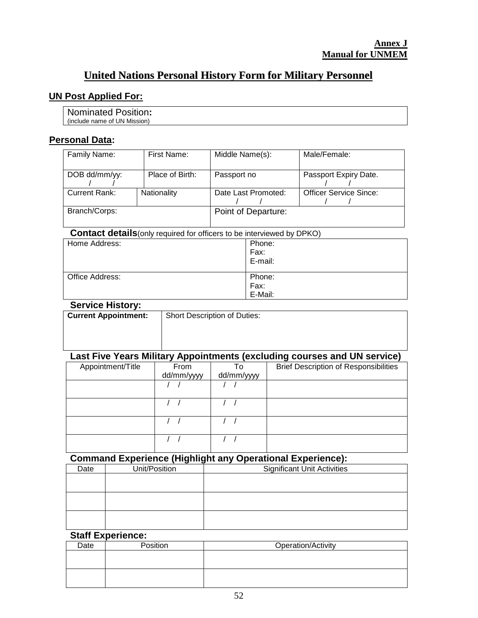# **United Nations Personal History Form for Military Personnel**

#### **UN Post Applied For:**

| Nominated Position: |                              |  |  |
|---------------------|------------------------------|--|--|
|                     |                              |  |  |
|                     | (include name of UN Mission) |  |  |

#### **Personal Data:**

| Family Name:  | First Name:     | Middle Name(s):     | Male/Female:                  |
|---------------|-----------------|---------------------|-------------------------------|
|               |                 |                     |                               |
|               |                 |                     |                               |
|               |                 |                     |                               |
| DOB dd/mm/yy: | Place of Birth: | Passport no         | Passport Expiry Date.         |
|               |                 |                     |                               |
|               |                 |                     |                               |
| Current Rank: | Nationality     | Date Last Promoted: | <b>Officer Service Since:</b> |
|               |                 |                     |                               |
|               |                 |                     |                               |
| Branch/Corps: |                 | Point of Departure: |                               |
|               |                 |                     |                               |
|               |                 |                     |                               |

#### **Contact details**(only required for officers to be interviewed by DPKO)

| Home Address:   | Phone:<br>Fax:<br>E-mail: |
|-----------------|---------------------------|
| Office Address: | Phone:<br>Fax:<br>E-Mail: |

#### **Service History:**

| <b>Current Appointment:</b> | <b>Short Description of Duties:</b> |
|-----------------------------|-------------------------------------|
|                             |                                     |
|                             |                                     |
|                             |                                     |

# **Last Five Years Military Appointments (excluding courses and UN service)**

| Appointment/Title | From       | То         | <b>Brief Description of Responsibilities</b> |
|-------------------|------------|------------|----------------------------------------------|
|                   | dd/mm/yyyy | dd/mm/yyyy |                                              |
|                   |            |            |                                              |
|                   |            |            |                                              |
|                   |            |            |                                              |
|                   |            |            |                                              |

# **Command Experience (Highlight any Operational Experience):**

| Date | Unit/Position | <b>Significant Unit Activities</b> |
|------|---------------|------------------------------------|
|      |               |                                    |
|      |               |                                    |
|      |               |                                    |
|      |               |                                    |
|      |               |                                    |
|      |               |                                    |

#### **Staff Experience:**

|      | $\bullet\cdot\cdot\cdot = \cdot\cdot\bullet\cdot\cdot\cdot\bullet\cdot\cdot\cdot\bullet\cdot$ |                    |
|------|-----------------------------------------------------------------------------------------------|--------------------|
| Date | Position                                                                                      | Operation/Activity |
|      |                                                                                               |                    |
|      |                                                                                               |                    |
|      |                                                                                               |                    |
|      |                                                                                               |                    |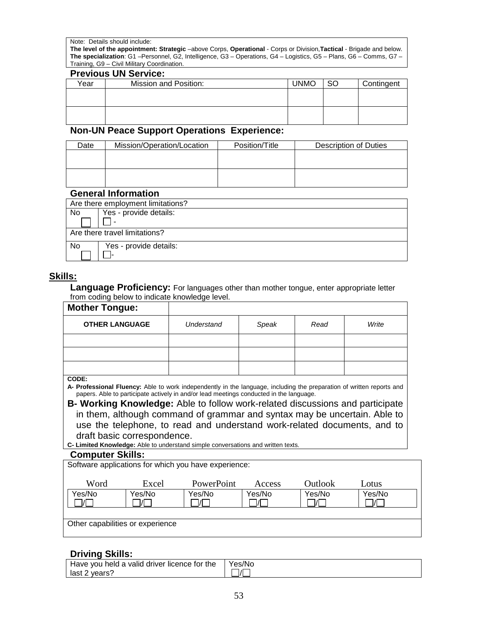Note: Details should include:

**The level of the appointment: Strategic** –above Corps, **Operational** - Corps or Division,**Tactical** - Brigade and below. **The specialization**: G1 –Personnel, G2, Intelligence, G3 – Operations, G4 – Logistics, G5 – Plans, G6 – Comms, G7 – Training, G9 – Civil Military Coordination.

#### **Previous UN Service:**

|      | - - - - - - - - - - - |             |    |            |
|------|-----------------------|-------------|----|------------|
| Year | Mission and Position: | <b>UNMO</b> | SC | Contingent |
|      |                       |             |    |            |
|      |                       |             |    |            |
|      |                       |             |    |            |
|      |                       |             |    |            |

#### **Non-UN Peace Support Operations Experience:**

| Date | Mission/Operation/Location | Position/Title | Description of Duties |
|------|----------------------------|----------------|-----------------------|
|      |                            |                |                       |
|      |                            |                |                       |
|      |                            |                |                       |
|      |                            |                |                       |

#### **General Information**

|           | Are there employment limitations? |  |  |  |  |
|-----------|-----------------------------------|--|--|--|--|
| No        | Yes - provide details:            |  |  |  |  |
|           |                                   |  |  |  |  |
|           | Are there travel limitations?     |  |  |  |  |
| <b>No</b> | Yes - provide details:            |  |  |  |  |
|           |                                   |  |  |  |  |

#### **Skills:**

Language Proficiency: For languages other than mother tongue, enter appropriate letter from coding below to indicate knowledge level.

| <b>Mother Tongue:</b> |            |       |      |       |
|-----------------------|------------|-------|------|-------|
| <b>OTHER LANGUAGE</b> | Understand | Speak | Read | Write |
|                       |            |       |      |       |
|                       |            |       |      |       |
|                       |            |       |      |       |
| $\cdots$              |            |       |      |       |

**CODE:** 

**A- Professional Fluency:** Able to work independently in the language, including the preparation of written reports and papers. Able to participate actively in and/or lead meetings conducted in the language.

**B- Working Knowledge:** Able to follow work-related discussions and participate in them, although command of grammar and syntax may be uncertain. Able to use the telephone, to read and understand work-related documents, and to draft basic correspondence.

**C- Limited Knowledge:** Able to understand simple conversations and written texts.

#### **Computer Skills:**

Software applications for which you have experience:

| Word          | Excel  | PowerPoint | Access         | Outlook | ∟otus         |
|---------------|--------|------------|----------------|---------|---------------|
| Yes/No        | Yes/No | Yes/No     | Yes/No         | Yes/No  | Yes/No        |
| $\frac{1}{1}$ | I/I    | $\mu$      | $\overline{u}$ | 1/I     | $\frac{1}{2}$ |

Other capabilities or experience

#### **Driving Skills:**

| Have you held a valid driver licence for the | Yes/No |
|----------------------------------------------|--------|
| . vears $^\circ$<br>last 2                   | ∥      |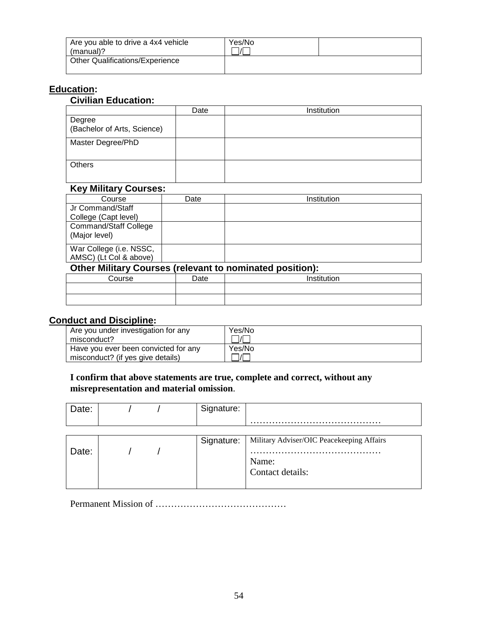| Are you able to drive a 4x4 vehicle<br>(manual)? | Yes/No |  |
|--------------------------------------------------|--------|--|
| <b>Other Qualifications/Experience</b>           |        |  |

### **Education:**

# **Civilian Education:**

|                                       | Date | Institution |
|---------------------------------------|------|-------------|
| Degree<br>(Bachelor of Arts, Science) |      |             |
| Master Degree/PhD                     |      |             |
| <b>Others</b>                         |      |             |

## **Key Military Courses:**

| Course                       | Date | Institution |  |  |  |
|------------------------------|------|-------------|--|--|--|
| Jr Command/Staff             |      |             |  |  |  |
| College (Capt level)         |      |             |  |  |  |
| <b>Command/Staff College</b> |      |             |  |  |  |
| (Major level)                |      |             |  |  |  |
| War College (i.e. NSSC,      |      |             |  |  |  |
| AMSC) (Lt Col & above)       |      |             |  |  |  |

#### **Other Military Courses (relevant to nominated position):**

| Course | Date |  | Institution |  |
|--------|------|--|-------------|--|
|        |      |  |             |  |
|        |      |  |             |  |

#### **Conduct and Discipline:**

| Are you under investigation for any  | Yes/No        |
|--------------------------------------|---------------|
| misconduct?                          | I/I           |
| Have you ever been convicted for any | Yes/No        |
| misconduct? (if yes give details)    | $\mathcal{U}$ |

#### **I confirm that above statements are true, complete and correct, without any misrepresentation and material omission**.

| Date: |  | Signature: |                                                                             |
|-------|--|------------|-----------------------------------------------------------------------------|
|       |  |            | .                                                                           |
|       |  |            |                                                                             |
| Date: |  | Signature: | Military Adviser/OIC Peacekeeping Affairs<br>.<br>Name:<br>Contact details: |

Permanent Mission of ……………………………………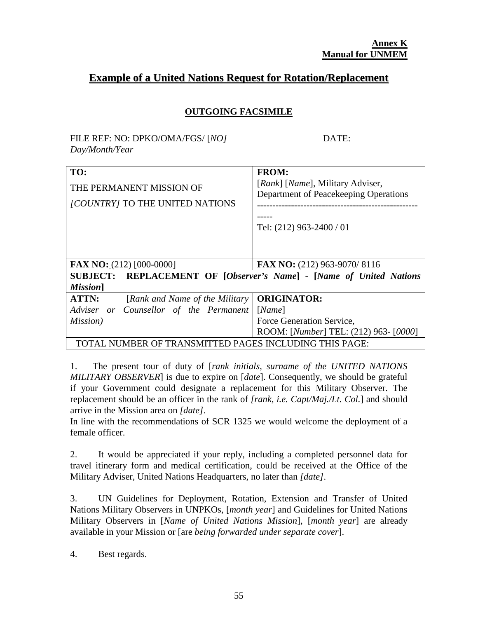# **Example of a United Nations Request for Rotation/Replacement**

## **OUTGOING FACSIMILE**

FILE REF: NO: DPKO/OMA/FGS/ [*NO*] DATE: *Day/Month/Year* 

**TO:**  THE PERMANENT MISSION OF

| THE PERMANENT MISSION OF<br><i>[COUNTRY]</i> TO THE UNITED NATIONS | [Rank] [Name], Military Adviser,<br>Department of Peacekeeping Operations<br>Tel: $(212)$ 963-2400 / 01 |
|--------------------------------------------------------------------|---------------------------------------------------------------------------------------------------------|
| <b>FAX NO:</b> $(212)$ [000-0000]                                  | FAX NO: (212) 963-9070/8116                                                                             |
| <b>SUBJECT:</b>                                                    | <b>REPLACEMENT OF [Observer's Name] - [Name of United Nations</b>                                       |
| <i>Mission</i> ]                                                   |                                                                                                         |
| ATTN:<br>[Rank and Name of the Military]                           | <b>ORIGINATOR:</b>                                                                                      |
| Adviser or Counsellor of the Permanent                             | [Name]                                                                                                  |
| <i>Mission</i> )                                                   | Force Generation Service,                                                                               |
|                                                                    | ROOM: [Number] TEL: (212) 963- [0000]                                                                   |
| TOTAL NUMBER OF TRANSMITTED PAGES INCLUDING THIS PAGE:             |                                                                                                         |

**FROM:**

1. The present tour of duty of [*rank initials, surname of the UNITED NATIONS MILITARY OBSERVER*] is due to expire on [*date*]. Consequently, we should be grateful if your Government could designate a replacement for this Military Observer. The replacement should be an officer in the rank of *[rank, i.e. Capt/Maj./Lt. Col.*] and should arrive in the Mission area on *[date].*

In line with the recommendations of SCR 1325 we would welcome the deployment of a female officer.

2. It would be appreciated if your reply, including a completed personnel data for travel itinerary form and medical certification, could be received at the Office of the Military Adviser, United Nations Headquarters, no later than *[date].*

3. UN Guidelines for Deployment, Rotation, Extension and Transfer of United Nations Military Observers in UNPKOs, [*month year*] and Guidelines for United Nations Military Observers in [*Name of United Nations Mission*], [*month year*] are already available in your Mission or [are *being forwarded under separate cover*].

4. Best regards.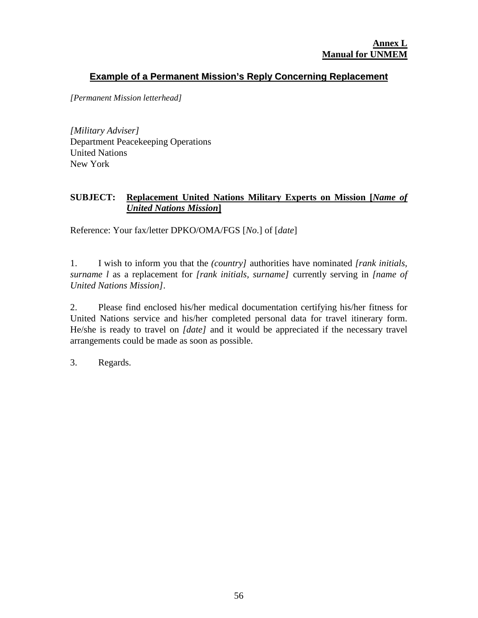### **Example of a Permanent Mission's Reply Concerning Replacement**

*[Permanent Mission letterhead]*

*[Military Adviser]* Department Peacekeeping Operations United Nations New York

#### **SUBJECT: Replacement United Nations Military Experts on Mission [***Name of United Nations Mission***]**

Reference: Your fax/letter DPKO/OMA/FGS [*No*.] of [*date*]

1. I wish to inform you that the *(country]* authorities have nominated *[rank initials, surname l* as a replacement for *[rank initials, surname]* currently serving in *[name of United Nations Mission].*

2. Please find enclosed his/her medical documentation certifying his/her fitness for United Nations service and his/her completed personal data for travel itinerary form. He/she is ready to travel on *[date]* and it would be appreciated if the necessary travel arrangements could be made as soon as possible.

3. Regards.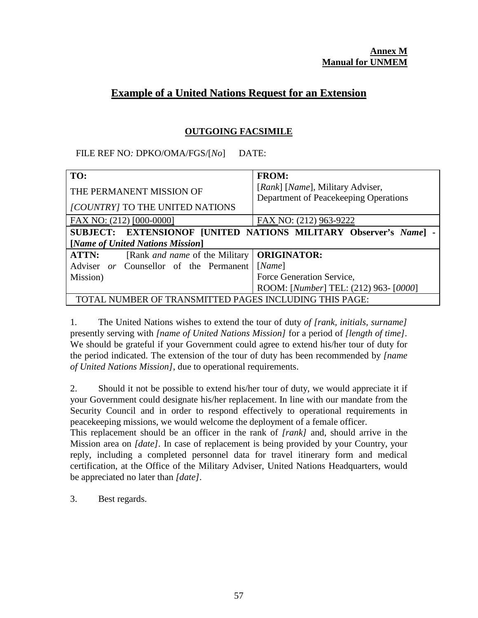# **Example of a United Nations Request for an Extension**

#### **OUTGOING FACSIMILE**

#### FILE REF NO*:* DPKO/OMA/FGS/[*No*] DATE:

| TO:                                                                               | <b>FROM:</b>                                                              |  |  |
|-----------------------------------------------------------------------------------|---------------------------------------------------------------------------|--|--|
| THE PERMANENT MISSION OF                                                          | [Rank] [Name], Military Adviser,<br>Department of Peacekeeping Operations |  |  |
| <i>[COUNTRY]</i> TO THE UNITED NATIONS                                            |                                                                           |  |  |
| FAX NO: (212) [000-0000]                                                          | FAX NO: (212) 963-9222                                                    |  |  |
| <b>EXTENSIONOF [UNITED NATIONS MILITARY Observer's Name]</b> -<br><b>SUBJECT:</b> |                                                                           |  |  |
| [Name of United Nations Mission]                                                  |                                                                           |  |  |
| <b>ATTN:</b><br>[Rank <i>and name</i> of the Military                             | <b>ORIGINATOR:</b>                                                        |  |  |
| Adviser or Counsellor of the Permanent                                            | [Name]                                                                    |  |  |
| Mission)                                                                          | Force Generation Service,                                                 |  |  |
|                                                                                   | ROOM: [Number] TEL: (212) 963- [0000]                                     |  |  |
| TOTAL NUMBER OF TRANSMITTED PAGES INCLUDING THIS PAGE:                            |                                                                           |  |  |

1*.* The United Nations wishes to extend the tour of duty *of [rank, initials, surname]* presently serving with *[name of United Nations Mission]* for a period of *[length of time].*  We should be grateful if your Government could agree to extend his/her tour of duty for the period indicated. The extension of the tour of duty has been recommended by *[name of United Nations Mission]*, due to operational requirements.

2. Should it not be possible to extend his/her tour of duty, we would appreciate it if your Government could designate his/her replacement. In line with our mandate from the Security Council and in order to respond effectively to operational requirements in peacekeeping missions, we would welcome the deployment of a female officer.

This replacement should be an officer in the rank of *[rank]* and, should arrive in the Mission area on *[date].* In case of replacement is being provided by your Country, your reply, including a completed personnel data for travel itinerary form and medical certification, at the Office of the Military Adviser, United Nations Headquarters, would be appreciated no later than *[date].*

3. Best regards.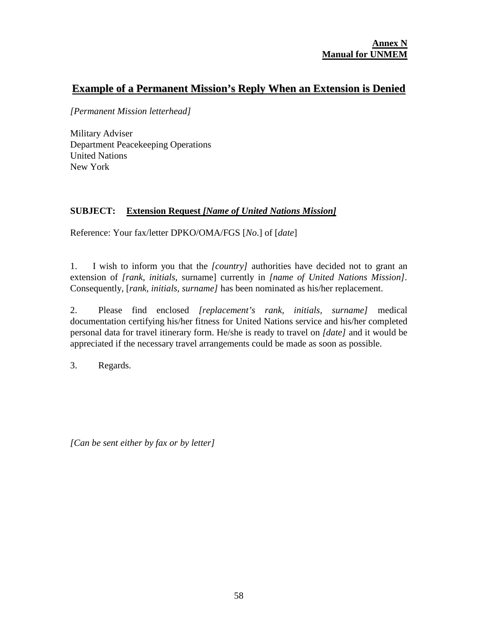# **Example of a Permanent Mission's Reply When an Extension is Denied**

*[Permanent Mission letterhead]*

Military Adviser Department Peacekeeping Operations United Nations New York

#### **SUBJECT: Extension Request** *[Name of United Nations Mission]*

Reference: Your fax/letter DPKO/OMA/FGS [*No*.] of [*date*]

1. I wish to inform you that the *[country]* authorities have decided not to grant an extension of *[rank, initials, surname]* currently in *[name of United Nations Mission]*. Consequently, [*rank, initials, surname]* has been nominated as his/her replacement.

2. Please find enclosed *[replacement's rank, initials, surname]* medical documentation certifying his/her fitness for United Nations service and his/her completed personal data for travel itinerary form. He/she is ready to travel on *[date]* and it would be appreciated if the necessary travel arrangements could be made as soon as possible.

3. Regards.

*[Can be sent either by fax or by letter]*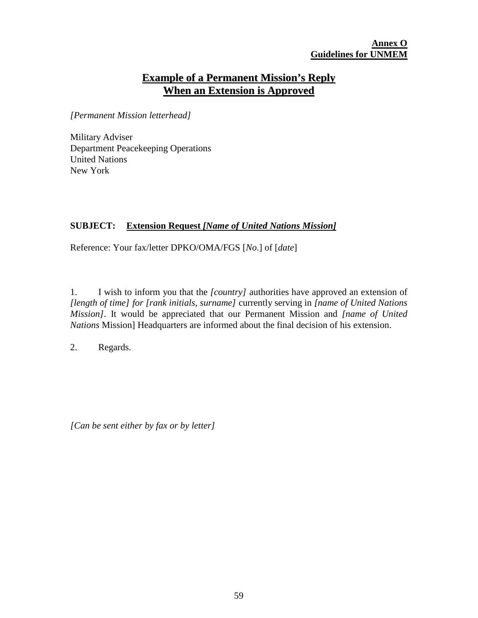# **Example of a Permanent Mission's Reply When an Extension is Approved**

*[Permanent Mission letterhead]*

Military Adviser Department Peacekeeping Operations United Nations New York

#### **SUBJECT: Extension Request** *[Name of United Nations Mission]*

Reference: Your fax/letter DPKO/OMA/FGS [*No*.] of [*date*]

1. I wish to inform you that the *[country]* authorities have approved an extension of *[length of time] for [rank initials, surname]* currently serving in *[name of United Nations Mission].* It would be appreciated that our Permanent Mission and *[name of United Nations* Mission] Headquarters are informed about the final decision of his extension.

2. Regards.

*[Can be sent either by fax or by letter]*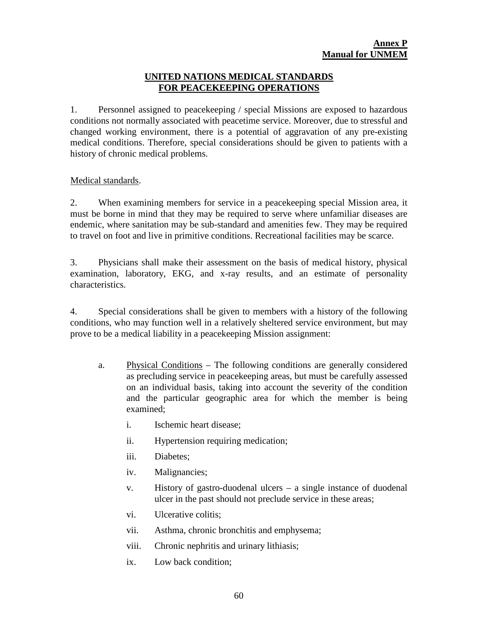#### **UNITED NATIONS MEDICAL STANDARDS FOR PEACEKEEPING OPERATIONS**

1. Personnel assigned to peacekeeping / special Missions are exposed to hazardous conditions not normally associated with peacetime service. Moreover, due to stressful and changed working environment, there is a potential of aggravation of any pre-existing medical conditions. Therefore, special considerations should be given to patients with a history of chronic medical problems.

#### Medical standards.

2. When examining members for service in a peacekeeping special Mission area, it must be borne in mind that they may be required to serve where unfamiliar diseases are endemic, where sanitation may be sub-standard and amenities few. They may be required to travel on foot and live in primitive conditions. Recreational facilities may be scarce.

3. Physicians shall make their assessment on the basis of medical history, physical examination, laboratory, EKG, and x-ray results, and an estimate of personality characteristics.

4. Special considerations shall be given to members with a history of the following conditions, who may function well in a relatively sheltered service environment, but may prove to be a medical liability in a peacekeeping Mission assignment:

- a. Physical Conditions The following conditions are generally considered as precluding service in peacekeeping areas, but must be carefully assessed on an individual basis, taking into account the severity of the condition and the particular geographic area for which the member is being examined;
	- i. Ischemic heart disease;
	- ii. Hypertension requiring medication;
	- iii. Diabetes;
	- iv. Malignancies;
	- v. History of gastro-duodenal ulcers a single instance of duodenal ulcer in the past should not preclude service in these areas;
	- vi. Ulcerative colitis;
	- vii. Asthma, chronic bronchitis and emphysema;
	- viii. Chronic nephritis and urinary lithiasis;
	- ix. Low back condition;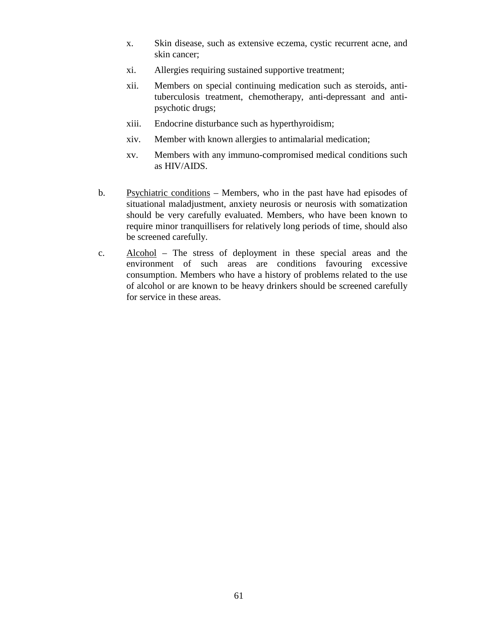- x. Skin disease, such as extensive eczema, cystic recurrent acne, and skin cancer;
- xi. Allergies requiring sustained supportive treatment;
- xii. Members on special continuing medication such as steroids, antituberculosis treatment, chemotherapy, anti-depressant and antipsychotic drugs;
- xiii. Endocrine disturbance such as hyperthyroidism;
- xiv. Member with known allergies to antimalarial medication;
- xv. Members with any immuno-compromised medical conditions such as HIV/AIDS.
- b. Psychiatric conditions Members, who in the past have had episodes of situational maladjustment, anxiety neurosis or neurosis with somatization should be very carefully evaluated. Members, who have been known to require minor tranquillisers for relatively long periods of time, should also be screened carefully.
- c. Alcohol The stress of deployment in these special areas and the environment of such areas are conditions favouring excessive consumption. Members who have a history of problems related to the use of alcohol or are known to be heavy drinkers should be screened carefully for service in these areas.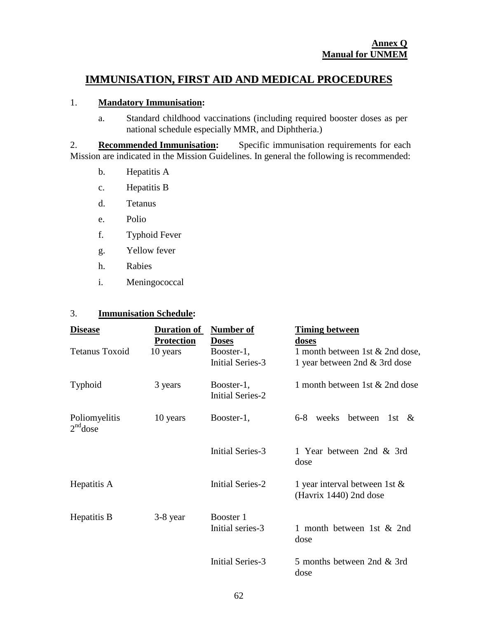## **IMMUNISATION, FIRST AID AND MEDICAL PROCEDURES**

#### 1. **Mandatory Immunisation:**

a. Standard childhood vaccinations (including required booster doses as per national schedule especially MMR, and Diphtheria.)

2. **Recommended Immunisation:** Specific immunisation requirements for each Mission are indicated in the Mission Guidelines. In general the following is recommended:

- b. Hepatitis A
- c. Hepatitis B
- d. Tetanus
- e. Polio
- f. Typhoid Fever
- g. Yellow fever
- h. Rabies
- i. Meningococcal

#### 3. **Immunisation Schedule:**

| <b>Disease</b>              | <b>Duration of</b><br><b>Protection</b> | Number of<br><b>Doses</b>             | <u>Timing between</u><br><u>doses</u>                            |  |
|-----------------------------|-----------------------------------------|---------------------------------------|------------------------------------------------------------------|--|
| <b>Tetanus Toxoid</b>       | 10 years                                | Booster-1,<br><b>Initial Series-3</b> | 1 month between 1st & 2nd dose,<br>1 year between 2nd & 3rd dose |  |
| Typhoid                     | 3 years                                 | Booster-1,<br><b>Initial Series-2</b> | 1 month between 1st & 2nd dose                                   |  |
| Poliomyelitis<br>$2nd$ dose | 10 years                                | Booster-1,                            | $6-8$<br>weeks between<br>1st $\&$                               |  |
|                             |                                         | Initial Series-3                      | 1 Year between 2nd & 3rd<br>dose                                 |  |
| Hepatitis A                 |                                         | <b>Initial Series-2</b>               | 1 year interval between 1st $\&$<br>(Havrix 1440) 2nd dose       |  |
| Hepatitis B                 | 3-8 year                                | Booster 1<br>Initial series-3         | 1 month between 1st & 2nd<br>dose                                |  |
|                             |                                         | <b>Initial Series-3</b>               | 5 months between 2nd & 3rd<br>dose                               |  |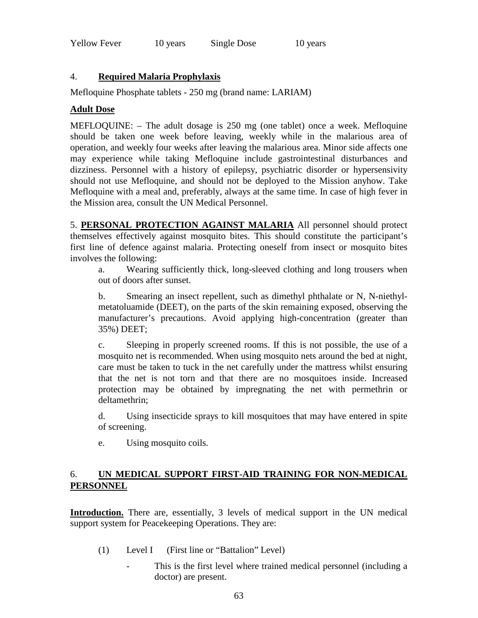#### 4. **Required Malaria Prophylaxis**

Mefloquine Phosphate tablets - 250 mg (brand name: LARIAM)

#### **Adult Dose**

MEFLOQUINE: – The adult dosage is 250 mg (one tablet) once a week. Mefloquine should be taken one week before leaving, weekly while in the malarious area of operation, and weekly four weeks after leaving the malarious area. Minor side affects one may experience while taking Mefloquine include gastrointestinal disturbances and dizziness. Personnel with a history of epilepsy, psychiatric disorder or hypersensivity should not use Mefloquine, and should not be deployed to the Mission anyhow. Take Mefloquine with a meal and, preferably, always at the same time. In case of high fever in the Mission area, consult the UN Medical Personnel.

5. **PERSONAL PROTECTION AGAINST MALARIA** All personnel should protect themselves effectively against mosquito bites. This should constitute the participant's first line of defence against malaria. Protecting oneself from insect or mosquito bites involves the following:

a. Wearing sufficiently thick, long-sleeved clothing and long trousers when out of doors after sunset.

b. Smearing an insect repellent, such as dimethyl phthalate or N, N-niethylmetatoluamide (DEET), on the parts of the skin remaining exposed, observing the manufacturer's precautions. Avoid applying high-concentration (greater than 35%) DEET;

c. Sleeping in properly screened rooms. If this is not possible, the use of a mosquito net is recommended. When using mosquito nets around the bed at night, care must be taken to tuck in the net carefully under the mattress whilst ensuring that the net is not torn and that there are no mosquitoes inside. Increased protection may be obtained by impregnating the net with permethrin or deltamethrin;

d. Using insecticide sprays to kill mosquitoes that may have entered in spite of screening.

e. Using mosquito coils.

#### 6. **UN MEDICAL SUPPORT FIRST-AID TRAINING FOR NON-MEDICAL PERSONNEL**

**Introduction.** There are, essentially, 3 levels of medical support in the UN medical support system for Peacekeeping Operations. They are:

- (1) Level I (First line or "Battalion" Level)
	- This is the first level where trained medical personnel (including a doctor) are present.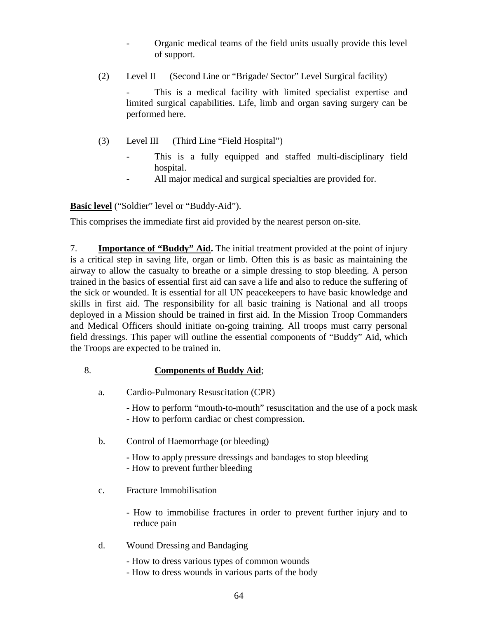- Organic medical teams of the field units usually provide this level of support.
- (2) Level II (Second Line or "Brigade/ Sector" Level Surgical facility)

This is a medical facility with limited specialist expertise and limited surgical capabilities. Life, limb and organ saving surgery can be performed here.

- (3) Level III (Third Line "Field Hospital")
	- This is a fully equipped and staffed multi-disciplinary field hospital.
		- All major medical and surgical specialties are provided for.

**Basic level** ("Soldier" level or "Buddy-Aid").

This comprises the immediate first aid provided by the nearest person on-site.

7. **Importance of "Buddy" Aid.** The initial treatment provided at the point of injury is a critical step in saving life, organ or limb. Often this is as basic as maintaining the airway to allow the casualty to breathe or a simple dressing to stop bleeding. A person trained in the basics of essential first aid can save a life and also to reduce the suffering of the sick or wounded. It is essential for all UN peacekeepers to have basic knowledge and skills in first aid. The responsibility for all basic training is National and all troops deployed in a Mission should be trained in first aid. In the Mission Troop Commanders and Medical Officers should initiate on-going training. All troops must carry personal field dressings. This paper will outline the essential components of "Buddy" Aid, which the Troops are expected to be trained in.

#### 8. **Components of Buddy Aid**;

- a. Cardio-Pulmonary Resuscitation (CPR)
	- How to perform "mouth-to-mouth" resuscitation and the use of a pock mask - How to perform cardiac or chest compression.
- b. Control of Haemorrhage (or bleeding)
	- How to apply pressure dressings and bandages to stop bleeding
	- How to prevent further bleeding
- c. Fracture Immobilisation
	- How to immobilise fractures in order to prevent further injury and to reduce pain
- d. Wound Dressing and Bandaging
	- How to dress various types of common wounds
	- How to dress wounds in various parts of the body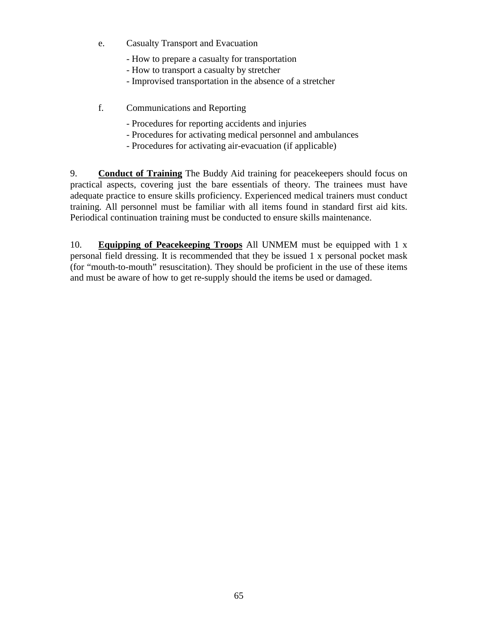- e. Casualty Transport and Evacuation
	- How to prepare a casualty for transportation
	- How to transport a casualty by stretcher
	- Improvised transportation in the absence of a stretcher
- f. Communications and Reporting
	- Procedures for reporting accidents and injuries
	- Procedures for activating medical personnel and ambulances
	- Procedures for activating air-evacuation (if applicable)

9. **Conduct of Training** The Buddy Aid training for peacekeepers should focus on practical aspects, covering just the bare essentials of theory. The trainees must have adequate practice to ensure skills proficiency. Experienced medical trainers must conduct training. All personnel must be familiar with all items found in standard first aid kits. Periodical continuation training must be conducted to ensure skills maintenance.

10. **Equipping of Peacekeeping Troops** All UNMEM must be equipped with 1 x personal field dressing. It is recommended that they be issued 1 x personal pocket mask (for "mouth-to-mouth" resuscitation). They should be proficient in the use of these items and must be aware of how to get re-supply should the items be used or damaged.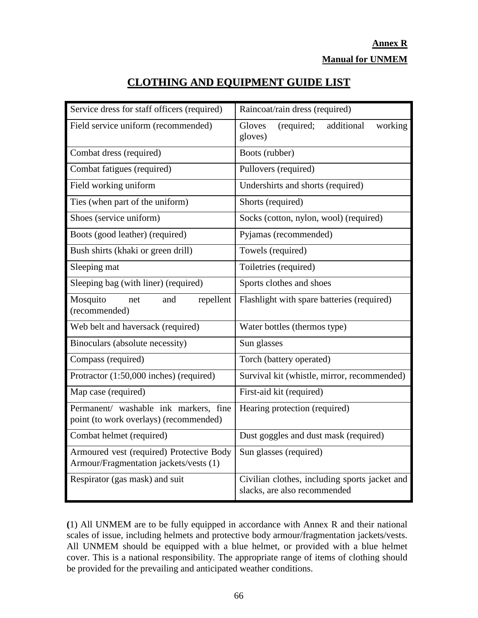# **CLOTHING AND EQUIPMENT GUIDE LIST**

| Service dress for staff officers (required)                                        | Raincoat/rain dress (required)                                                |  |  |  |  |  |
|------------------------------------------------------------------------------------|-------------------------------------------------------------------------------|--|--|--|--|--|
| Field service uniform (recommended)                                                | additional<br>Gloves<br>(required;<br>working<br>gloves)                      |  |  |  |  |  |
| Combat dress (required)                                                            | Boots (rubber)                                                                |  |  |  |  |  |
| Combat fatigues (required)                                                         | Pullovers (required)                                                          |  |  |  |  |  |
| Field working uniform                                                              | Undershirts and shorts (required)                                             |  |  |  |  |  |
| Ties (when part of the uniform)                                                    | Shorts (required)                                                             |  |  |  |  |  |
| Shoes (service uniform)                                                            | Socks (cotton, nylon, wool) (required)                                        |  |  |  |  |  |
| Boots (good leather) (required)                                                    | Pyjamas (recommended)                                                         |  |  |  |  |  |
| Bush shirts (khaki or green drill)                                                 | Towels (required)                                                             |  |  |  |  |  |
| Sleeping mat                                                                       | Toiletries (required)                                                         |  |  |  |  |  |
| Sleeping bag (with liner) (required)                                               | Sports clothes and shoes                                                      |  |  |  |  |  |
| repellent<br>Mosquito<br>net<br>and<br>(recommended)                               | Flashlight with spare batteries (required)                                    |  |  |  |  |  |
| Web belt and haversack (required)                                                  | Water bottles (thermos type)                                                  |  |  |  |  |  |
| Binoculars (absolute necessity)                                                    | Sun glasses                                                                   |  |  |  |  |  |
| Compass (required)                                                                 | Torch (battery operated)                                                      |  |  |  |  |  |
| Protractor (1:50,000 inches) (required)                                            | Survival kit (whistle, mirror, recommended)                                   |  |  |  |  |  |
| Map case (required)                                                                | First-aid kit (required)                                                      |  |  |  |  |  |
| Permanent/ washable ink markers, fine<br>point (to work overlays) (recommended)    | Hearing protection (required)                                                 |  |  |  |  |  |
| Combat helmet (required)                                                           | Dust goggles and dust mask (required)                                         |  |  |  |  |  |
| Armoured vest (required) Protective Body<br>Armour/Fragmentation jackets/vests (1) | Sun glasses (required)                                                        |  |  |  |  |  |
| Respirator (gas mask) and suit                                                     | Civilian clothes, including sports jacket and<br>slacks, are also recommended |  |  |  |  |  |

**(**1) All UNMEM are to be fully equipped in accordance with Annex R and their national scales of issue, including helmets and protective body armour/fragmentation jackets/vests. All UNMEM should be equipped with a blue helmet, or provided with a blue helmet cover. This is a national responsibility. The appropriate range of items of clothing should be provided for the prevailing and anticipated weather conditions.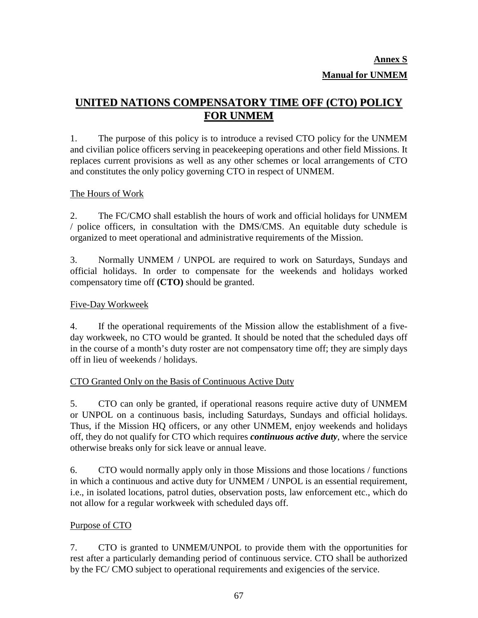# **UNITED NATIONS COMPENSATORY TIME OFF (CTO) POLICY FOR UNMEM**

1. The purpose of this policy is to introduce a revised CTO policy for the UNMEM and civilian police officers serving in peacekeeping operations and other field Missions. It replaces current provisions as well as any other schemes or local arrangements of CTO and constitutes the only policy governing CTO in respect of UNMEM.

#### The Hours of Work

2. The FC/CMO shall establish the hours of work and official holidays for UNMEM / police officers, in consultation with the DMS/CMS. An equitable duty schedule is organized to meet operational and administrative requirements of the Mission.

3. Normally UNMEM / UNPOL are required to work on Saturdays, Sundays and official holidays. In order to compensate for the weekends and holidays worked compensatory time off **(CTO)** should be granted.

#### Five-Day Workweek

4. If the operational requirements of the Mission allow the establishment of a fiveday workweek, no CTO would be granted. It should be noted that the scheduled days off in the course of a month's duty roster are not compensatory time off; they are simply days off in lieu of weekends / holidays.

#### CTO Granted Only on the Basis of Continuous Active Duty

5. CTO can only be granted, if operational reasons require active duty of UNMEM or UNPOL on a continuous basis, including Saturdays, Sundays and official holidays. Thus, if the Mission HQ officers, or any other UNMEM, enjoy weekends and holidays off, they do not qualify for CTO which requires *continuous active duty*, where the service otherwise breaks only for sick leave or annual leave.

6. CTO would normally apply only in those Missions and those locations / functions in which a continuous and active duty for UNMEM / UNPOL is an essential requirement, i.e., in isolated locations, patrol duties, observation posts, law enforcement etc., which do not allow for a regular workweek with scheduled days off.

#### Purpose of CTO

7. CTO is granted to UNMEM/UNPOL to provide them with the opportunities for rest after a particularly demanding period of continuous service. CTO shall be authorized by the FC/ CMO subject to operational requirements and exigencies of the service.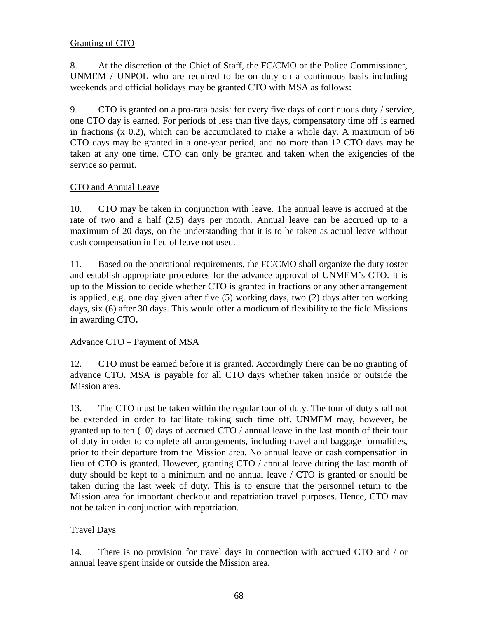#### Granting of CTO

8. At the discretion of the Chief of Staff, the FC/CMO or the Police Commissioner, UNMEM / UNPOL who are required to be on duty on a continuous basis including weekends and official holidays may be granted CTO with MSA as follows:

9. CTO is granted on a pro-rata basis: for every five days of continuous duty / service, one CTO day is earned. For periods of less than five days, compensatory time off is earned in fractions (x 0.2), which can be accumulated to make a whole day. A maximum of 56 CTO days may be granted in a one-year period, and no more than 12 CTO days may be taken at any one time. CTO can only be granted and taken when the exigencies of the service so permit.

#### CTO and Annual Leave

10. CTO may be taken in conjunction with leave. The annual leave is accrued at the rate of two and a half (2.5) days per month. Annual leave can be accrued up to a maximum of 20 days, on the understanding that it is to be taken as actual leave without cash compensation in lieu of leave not used.

11. Based on the operational requirements, the FC/CMO shall organize the duty roster and establish appropriate procedures for the advance approval of UNMEM's CTO. It is up to the Mission to decide whether CTO is granted in fractions or any other arrangement is applied, e.g. one day given after five (5) working days, two (2) days after ten working days, six (6) after 30 days. This would offer a modicum of flexibility to the field Missions in awarding CTO**.** 

#### Advance CTO – Payment of MSA

12. CTO must be earned before it is granted. Accordingly there can be no granting of advance CTO**.** MSA is payable for all CTO days whether taken inside or outside the Mission area.

13. The CTO must be taken within the regular tour of duty. The tour of duty shall not be extended in order to facilitate taking such time off. UNMEM may, however, be granted up to ten (10) days of accrued CTO / annual leave in the last month of their tour of duty in order to complete all arrangements, including travel and baggage formalities, prior to their departure from the Mission area. No annual leave or cash compensation in lieu of CTO is granted. However, granting CTO / annual leave during the last month of duty should be kept to a minimum and no annual leave / CTO is granted or should be taken during the last week of duty. This is to ensure that the personnel return to the Mission area for important checkout and repatriation travel purposes. Hence, CTO may not be taken in conjunction with repatriation.

#### Travel Days

14. There is no provision for travel days in connection with accrued CTO and / or annual leave spent inside or outside the Mission area.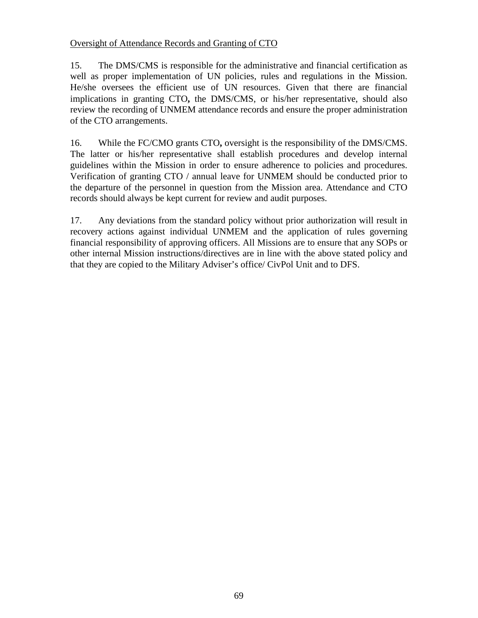#### Oversight of Attendance Records and Granting of CTO

15. The DMS/CMS is responsible for the administrative and financial certification as well as proper implementation of UN policies, rules and regulations in the Mission. He/she oversees the efficient use of UN resources. Given that there are financial implications in granting CTO**,** the DMS/CMS, or his/her representative, should also review the recording of UNMEM attendance records and ensure the proper administration of the CTO arrangements.

16. While the FC/CMO grants CTO**,** oversight is the responsibility of the DMS/CMS. The latter or his/her representative shall establish procedures and develop internal guidelines within the Mission in order to ensure adherence to policies and procedures. Verification of granting CTO / annual leave for UNMEM should be conducted prior to the departure of the personnel in question from the Mission area. Attendance and CTO records should always be kept current for review and audit purposes.

17. Any deviations from the standard policy without prior authorization will result in recovery actions against individual UNMEM and the application of rules governing financial responsibility of approving officers. All Missions are to ensure that any SOPs or other internal Mission instructions/directives are in line with the above stated policy and that they are copied to the Military Adviser's office/ CivPol Unit and to DFS.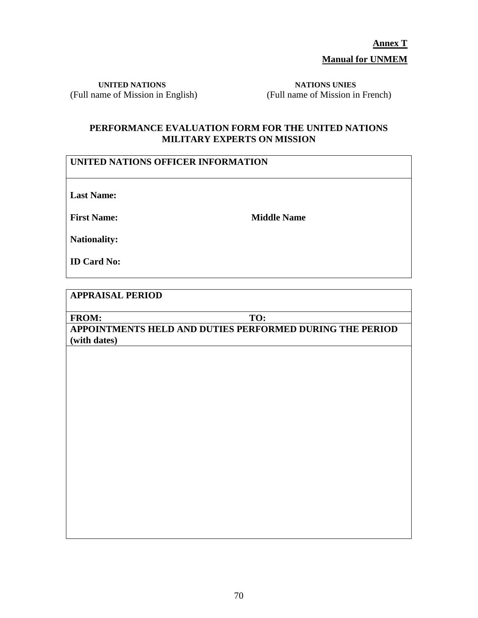**UNITED NATIONS NATIONS** (Full name of Mission in English) (Full name of Mission in French)

#### **PERFORMANCE EVALUATION FORM FOR THE UNITED NATIONS MILITARY EXPERTS ON MISSION**

#### **UNITED NATIONS OFFICER INFORMATION**

**Last Name:** 

**First Name:** Middle Name

**Nationality:** 

**ID Card No:** 

#### **APPRAISAL PERIOD**

FROM: TO:

**APPOINTMENTS HELD AND DUTIES PERFORMED DURING THE PERIOD (with dates)**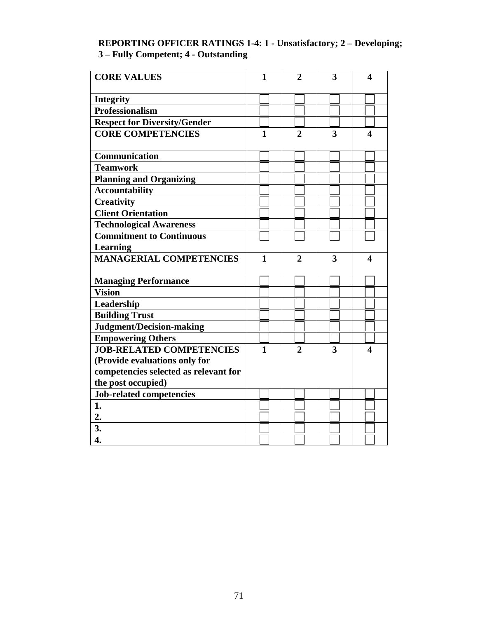| <b>CORE VALUES</b>                    | 1            | $\overline{2}$ | 3 | 4 |
|---------------------------------------|--------------|----------------|---|---|
| <b>Integrity</b>                      |              |                |   |   |
| <b>Professionalism</b>                |              |                |   |   |
| <b>Respect for Diversity/Gender</b>   |              |                |   |   |
| <b>CORE COMPETENCIES</b>              | $\mathbf{1}$ | $\overline{2}$ | 3 | 4 |
| Communication                         |              |                |   |   |
| <b>Teamwork</b>                       |              |                |   |   |
| <b>Planning and Organizing</b>        |              |                |   |   |
| <b>Accountability</b>                 |              |                |   |   |
| <b>Creativity</b>                     |              |                |   |   |
| <b>Client Orientation</b>             |              |                |   |   |
| <b>Technological Awareness</b>        |              |                |   |   |
| <b>Commitment to Continuous</b>       |              |                |   |   |
| <b>Learning</b>                       |              |                |   |   |
| <b>MANAGERIAL COMPETENCIES</b>        | $\mathbf{1}$ | $\overline{2}$ | 3 | 4 |
| <b>Managing Performance</b>           |              |                |   |   |
| <b>Vision</b>                         |              |                |   |   |
| Leadership                            |              |                |   |   |
| <b>Building Trust</b>                 |              |                |   |   |
| <b>Judgment/Decision-making</b>       |              |                |   |   |
| <b>Empowering Others</b>              |              |                |   |   |
| <b>JOB-RELATED COMPETENCIES</b>       | $\mathbf{1}$ | $\overline{2}$ | 3 | 4 |
| (Provide evaluations only for         |              |                |   |   |
| competencies selected as relevant for |              |                |   |   |
| the post occupied)                    |              |                |   |   |
| <b>Job-related competencies</b>       |              |                |   |   |
| 1.                                    |              |                |   |   |
| 2.                                    |              |                |   |   |
| $\overline{\mathbf{3}}$ .             |              |                |   |   |
| 4.                                    |              |                |   |   |

#### **REPORTING OFFICER RATINGS 1-4: 1 - Unsatisfactory; 2 – Developing; 3 – Fully Competent; 4 - Outstanding**